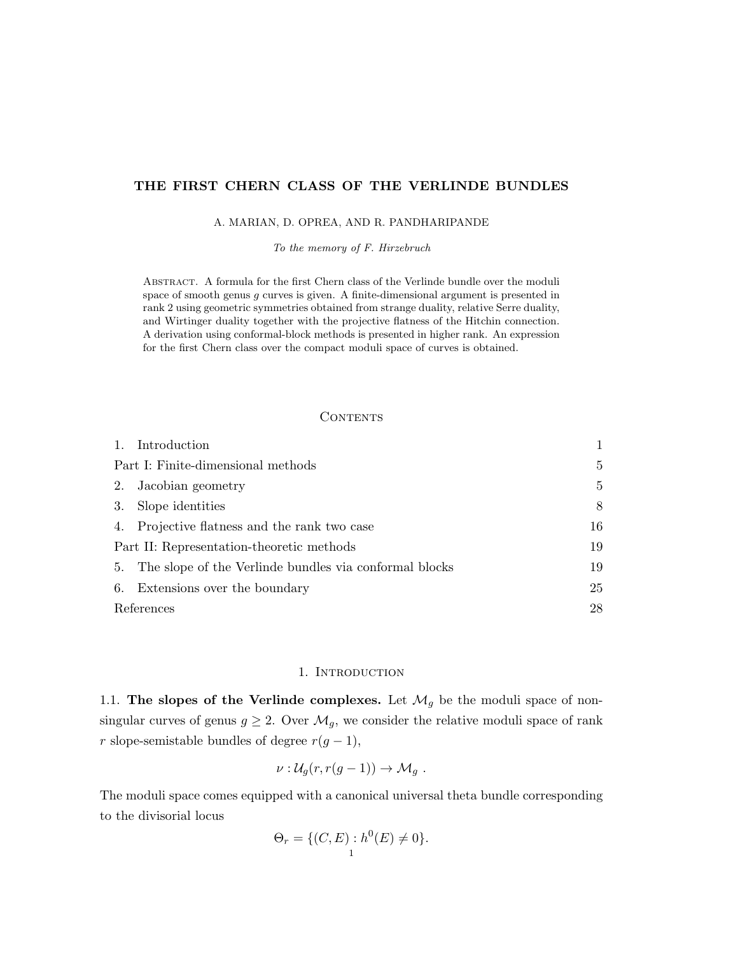# THE FIRST CHERN CLASS OF THE VERLINDE BUNDLES

#### A. MARIAN, D. OPREA, AND R. PANDHARIPANDE

To the memory of F. Hirzebruch

Abstract. A formula for the first Chern class of the Verlinde bundle over the moduli space of smooth genus g curves is given. A finite-dimensional argument is presented in rank 2 using geometric symmetries obtained from strange duality, relative Serre duality, and Wirtinger duality together with the projective flatness of the Hitchin connection. A derivation using conformal-block methods is presented in higher rank. An expression for the first Chern class over the compact moduli space of curves is obtained.

## **CONTENTS**

|                                           | 1. Introduction                                           |    |
|-------------------------------------------|-----------------------------------------------------------|----|
| Part I: Finite-dimensional methods        | 5                                                         |    |
| 2.                                        | Jacobian geometry                                         | 5  |
| 3.                                        | Slope identities                                          | 8  |
|                                           | 4. Projective flatness and the rank two case              | 16 |
| Part II: Representation-theoretic methods | 19                                                        |    |
|                                           | 5. The slope of the Verlinde bundles via conformal blocks | 19 |
|                                           | 6. Extensions over the boundary                           | 25 |
| References                                |                                                           | 28 |

### 1. INTRODUCTION

1.1. The slopes of the Verlinde complexes. Let  $\mathcal{M}_g$  be the moduli space of nonsingular curves of genus  $g \geq 2$ . Over  $\mathcal{M}_g$ , we consider the relative moduli space of rank r slope-semistable bundles of degree  $r(g-1)$ ,

$$
\nu: \mathcal{U}_g(r, r(g-1)) \to \mathcal{M}_g.
$$

The moduli space comes equipped with a canonical universal theta bundle corresponding to the divisorial locus

$$
\Theta_r = \{ (C, E) : h^0(E) \neq 0 \}.
$$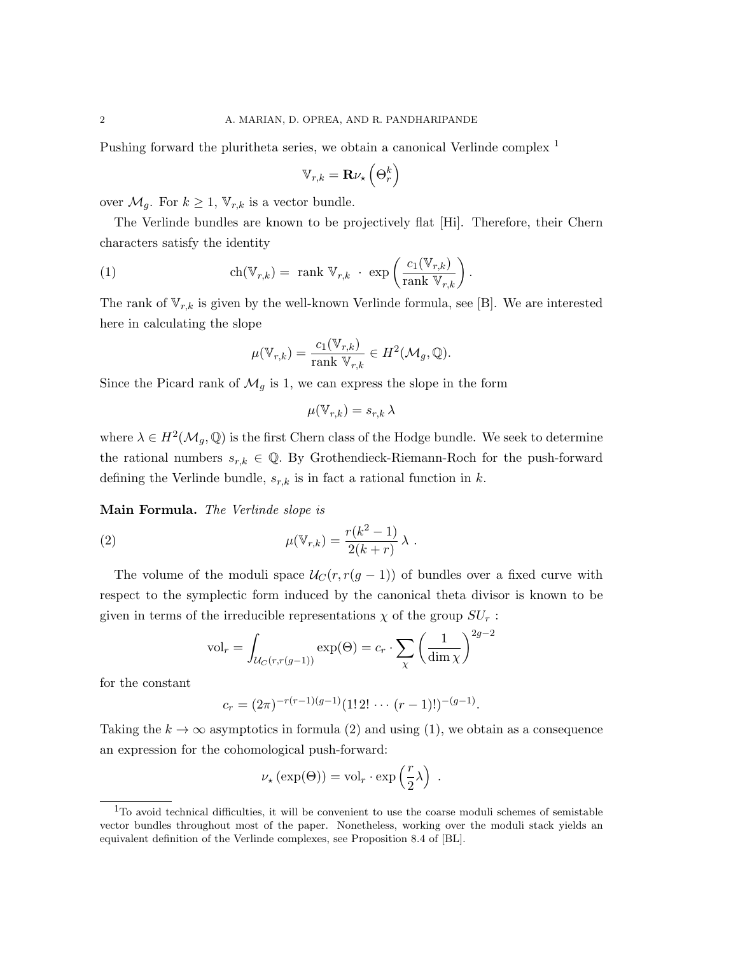Pushing forward the pluritheta series, we obtain a canonical Verlinde complex <sup>1</sup>

$$
\mathbb{V}_{r,k} = \mathbf{R} \nu_{\star} \left( \Theta_r^k \right)
$$

over  $\mathcal{M}_g$ . For  $k \geq 1$ ,  $\mathbb{V}_{r,k}$  is a vector bundle.

The Verlinde bundles are known to be projectively flat [Hi]. Therefore, their Chern characters satisfy the identity

(1) 
$$
\operatorname{ch}(\mathbb{V}_{r,k}) = \operatorname{rank} \mathbb{V}_{r,k} \cdot \exp\left(\frac{c_1(\mathbb{V}_{r,k})}{\operatorname{rank} \mathbb{V}_{r,k}}\right).
$$

The rank of  $\mathbb{V}_{r,k}$  is given by the well-known Verlinde formula, see [B]. We are interested here in calculating the slope

$$
\mu(\mathbb{V}_{r,k}) = \frac{c_1(\mathbb{V}_{r,k})}{\text{rank }\mathbb{V}_{r,k}} \in H^2(\mathcal{M}_g, \mathbb{Q}).
$$

Since the Picard rank of  $\mathcal{M}_g$  is 1, we can express the slope in the form

$$
\mu(\mathbb{V}_{r,k}) = s_{r,k} \,\lambda
$$

where  $\lambda \in H^2(\mathcal{M}_g, \mathbb{Q})$  is the first Chern class of the Hodge bundle. We seek to determine the rational numbers  $s_{r,k} \in \mathbb{Q}$ . By Grothendieck-Riemann-Roch for the push-forward defining the Verlinde bundle,  $s_{r,k}$  is in fact a rational function in k.

Main Formula. The Verlinde slope is

(2) 
$$
\mu(\mathbb{V}_{r,k}) = \frac{r(k^2 - 1)}{2(k+r)} \lambda.
$$

The volume of the moduli space  $U_C(r, r(g-1))$  of bundles over a fixed curve with respect to the symplectic form induced by the canonical theta divisor is known to be given in terms of the irreducible representations  $\chi$  of the group  $SU_r$ :

$$
\text{vol}_r = \int_{\mathcal{U}_C(r, r(g-1))} \exp(\Theta) = c_r \cdot \sum_{\chi} \left(\frac{1}{\dim \chi}\right)^{2g-2}
$$

for the constant

$$
c_r = (2\pi)^{-r(r-1)(g-1)}(1! \, 2! \, \cdots \, (r-1)!)^{-(g-1)}.
$$

Taking the  $k \to \infty$  asymptotics in formula (2) and using (1), we obtain as a consequence an expression for the cohomological push-forward:

$$
\nu_{\star}(\exp(\Theta)) = \text{vol}_{r} \cdot \exp\left(\frac{r}{2}\lambda\right) .
$$

<sup>&</sup>lt;sup>1</sup>To avoid technical difficulties, it will be convenient to use the coarse moduli schemes of semistable vector bundles throughout most of the paper. Nonetheless, working over the moduli stack yields an equivalent definition of the Verlinde complexes, see Proposition 8.4 of [BL].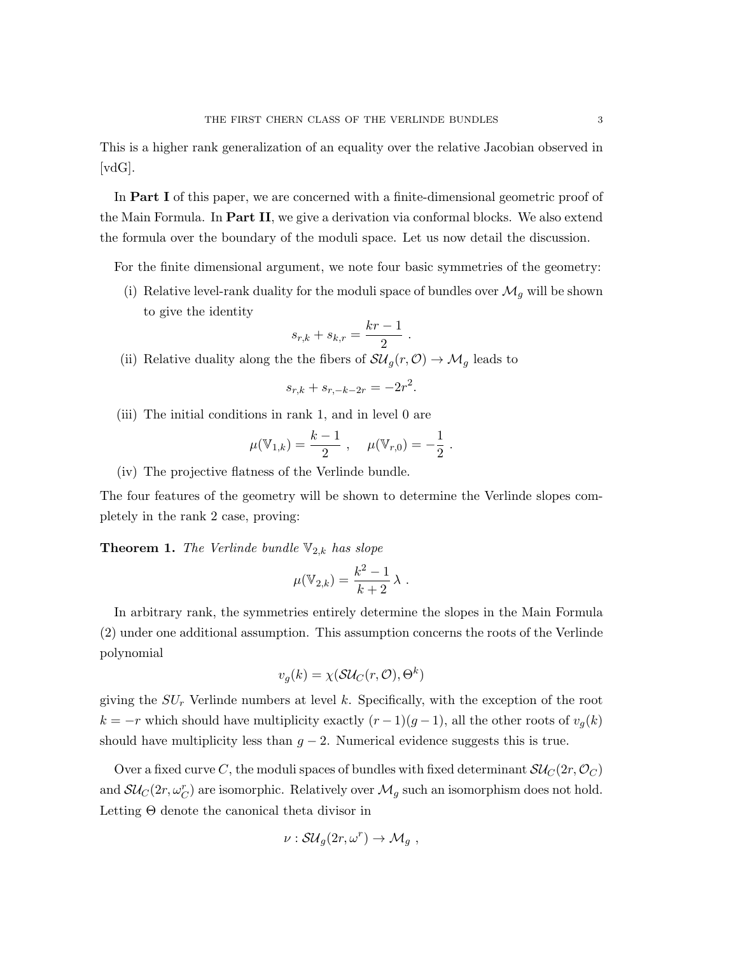This is a higher rank generalization of an equality over the relative Jacobian observed in [vdG].

In Part I of this paper, we are concerned with a finite-dimensional geometric proof of the Main Formula. In Part II, we give a derivation via conformal blocks. We also extend the formula over the boundary of the moduli space. Let us now detail the discussion.

For the finite dimensional argument, we note four basic symmetries of the geometry:

(i) Relative level-rank duality for the moduli space of bundles over  $\mathcal{M}_g$  will be shown to give the identity

$$
s_{r,k} + s_{k,r} = \frac{kr - 1}{2} \; .
$$

(ii) Relative duality along the the fibers of  $\mathcal{S}\mathcal{U}_g(r,0) \to \mathcal{M}_g$  leads to

$$
s_{r,k} + s_{r,-k-2r} = -2r^2.
$$

(iii) The initial conditions in rank 1, and in level 0 are

$$
\mu(\mathbb{V}_{1,k}) = \frac{k-1}{2}, \quad \mu(\mathbb{V}_{r,0}) = -\frac{1}{2}.
$$

(iv) The projective flatness of the Verlinde bundle.

The four features of the geometry will be shown to determine the Verlinde slopes completely in the rank 2 case, proving:

**Theorem 1.** The Verlinde bundle  $\mathbb{V}_{2,k}$  has slope

$$
\mu(\mathbb{V}_{2,k}) = \frac{k^2 - 1}{k + 2} \lambda.
$$

In arbitrary rank, the symmetries entirely determine the slopes in the Main Formula (2) under one additional assumption. This assumption concerns the roots of the Verlinde polynomial

$$
v_g(k) = \chi(\mathcal{SU}_C(r, \mathcal{O}), \Theta^k)
$$

giving the  $SU<sub>r</sub>$  Verlinde numbers at level k. Specifically, with the exception of the root  $k = -r$  which should have multiplicity exactly  $(r-1)(g-1)$ , all the other roots of  $v<sub>g</sub>(k)$ should have multiplicity less than  $g - 2$ . Numerical evidence suggests this is true.

Over a fixed curve C, the moduli spaces of bundles with fixed determinant  $\mathcal{SU}_C(2r,\mathcal{O}_C)$ and  $\mathcal{SU}_C(2r,\omega_C^r)$  are isomorphic. Relatively over  $\mathcal{M}_g$  such an isomorphism does not hold. Letting Θ denote the canonical theta divisor in

$$
\nu: \mathcal{S}\mathcal{U}_g(2r,\omega^r) \to \mathcal{M}_g ,
$$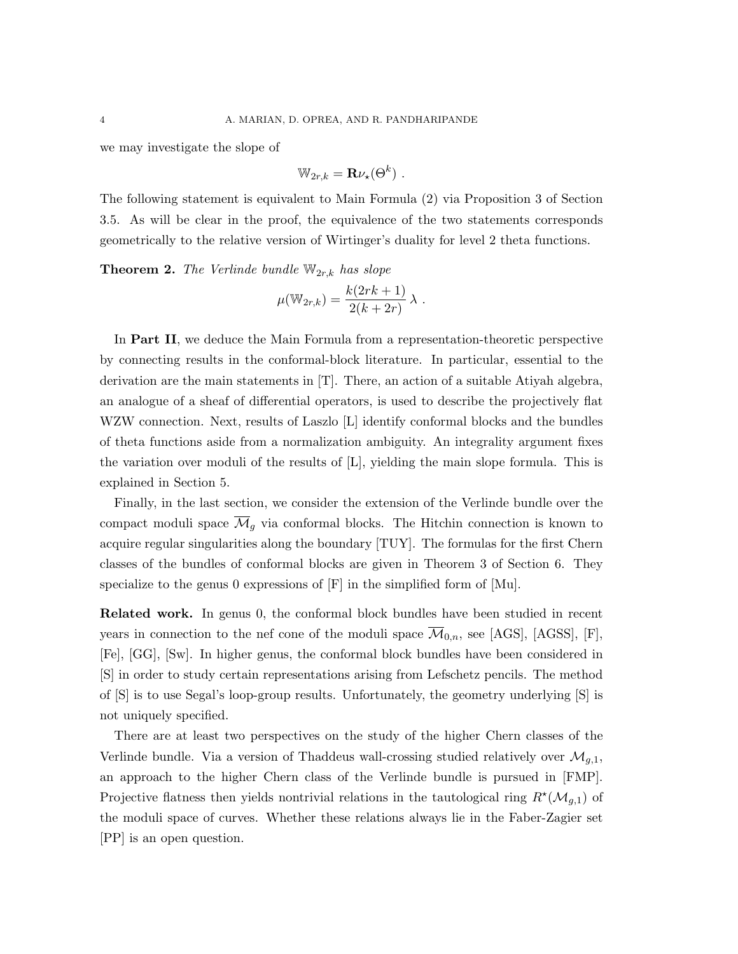we may investigate the slope of

$$
\mathbb{W}_{2r,k} = \mathbf{R} \nu_\star(\Theta^k) \; .
$$

The following statement is equivalent to Main Formula (2) via Proposition 3 of Section 3.5. As will be clear in the proof, the equivalence of the two statements corresponds geometrically to the relative version of Wirtinger's duality for level 2 theta functions.

**Theorem 2.** The Verlinde bundle  $\mathbb{W}_{2r,k}$  has slope

$$
\mu(\mathbb{W}_{2r,k}) = \frac{k(2rk+1)}{2(k+2r)} \lambda.
$$

In Part II, we deduce the Main Formula from a representation-theoretic perspective by connecting results in the conformal-block literature. In particular, essential to the derivation are the main statements in [T]. There, an action of a suitable Atiyah algebra, an analogue of a sheaf of differential operators, is used to describe the projectively flat WZW connection. Next, results of Laszlo [L] identify conformal blocks and the bundles of theta functions aside from a normalization ambiguity. An integrality argument fixes the variation over moduli of the results of [L], yielding the main slope formula. This is explained in Section 5.

Finally, in the last section, we consider the extension of the Verlinde bundle over the compact moduli space  $\overline{\mathcal{M}}_g$  via conformal blocks. The Hitchin connection is known to acquire regular singularities along the boundary [TUY]. The formulas for the first Chern classes of the bundles of conformal blocks are given in Theorem 3 of Section 6. They specialize to the genus 0 expressions of  $[F]$  in the simplified form of  $[Mu]$ .

Related work. In genus 0, the conformal block bundles have been studied in recent years in connection to the nef cone of the moduli space  $\mathcal{M}_{0,n}$ , see [AGS], [AGSS], [F], [Fe], [GG], [Sw]. In higher genus, the conformal block bundles have been considered in [S] in order to study certain representations arising from Lefschetz pencils. The method of [S] is to use Segal's loop-group results. Unfortunately, the geometry underlying [S] is not uniquely specified.

There are at least two perspectives on the study of the higher Chern classes of the Verlinde bundle. Via a version of Thaddeus wall-crossing studied relatively over  $\mathcal{M}_{q,1}$ , an approach to the higher Chern class of the Verlinde bundle is pursued in [FMP]. Projective flatness then yields nontrivial relations in the tautological ring  $R^{\star}(\mathcal{M}_{g,1})$  of the moduli space of curves. Whether these relations always lie in the Faber-Zagier set [PP] is an open question.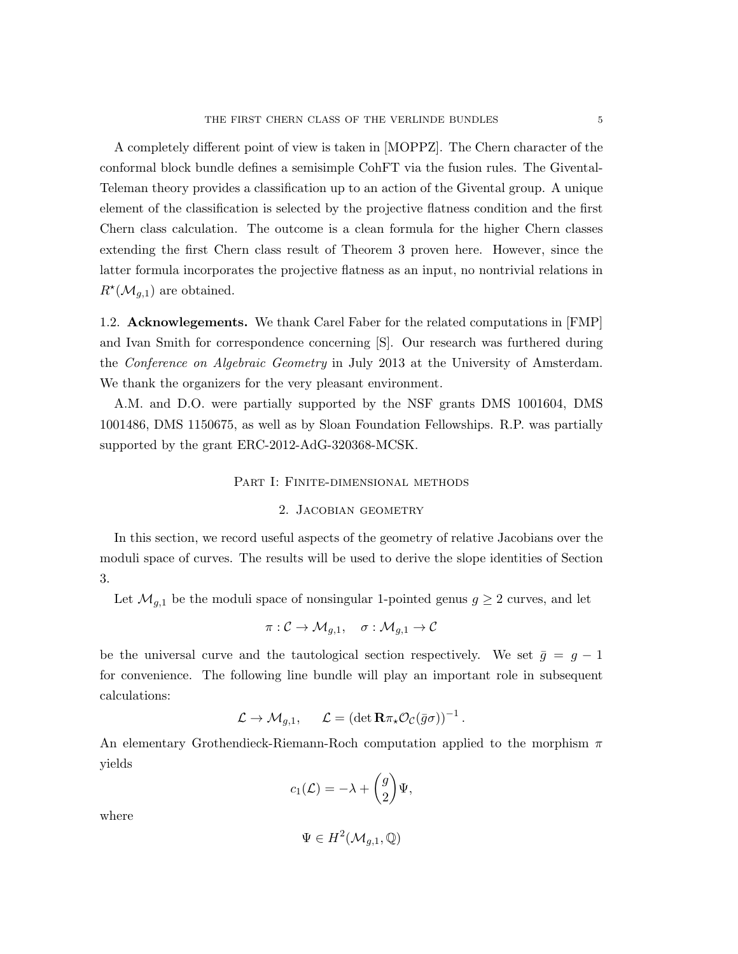A completely different point of view is taken in [MOPPZ]. The Chern character of the conformal block bundle defines a semisimple CohFT via the fusion rules. The Givental-Teleman theory provides a classification up to an action of the Givental group. A unique element of the classification is selected by the projective flatness condition and the first Chern class calculation. The outcome is a clean formula for the higher Chern classes extending the first Chern class result of Theorem 3 proven here. However, since the latter formula incorporates the projective flatness as an input, no nontrivial relations in  $R^{\star}(\mathcal{M}_{g,1})$  are obtained.

1.2. Acknowlegements. We thank Carel Faber for the related computations in [FMP] and Ivan Smith for correspondence concerning [S]. Our research was furthered during the Conference on Algebraic Geometry in July 2013 at the University of Amsterdam. We thank the organizers for the very pleasant environment.

A.M. and D.O. were partially supported by the NSF grants DMS 1001604, DMS 1001486, DMS 1150675, as well as by Sloan Foundation Fellowships. R.P. was partially supported by the grant ERC-2012-AdG-320368-MCSK.

## PART I: FINITE-DIMENSIONAL METHODS

# 2. Jacobian geometry

In this section, we record useful aspects of the geometry of relative Jacobians over the moduli space of curves. The results will be used to derive the slope identities of Section 3.

Let  $\mathcal{M}_{g,1}$  be the moduli space of nonsingular 1-pointed genus  $g \geq 2$  curves, and let

$$
\pi: \mathcal{C} \to \mathcal{M}_{g,1}, \quad \sigma: \mathcal{M}_{g,1} \to \mathcal{C}
$$

be the universal curve and the tautological section respectively. We set  $\bar{g} = g - 1$ for convenience. The following line bundle will play an important role in subsequent calculations:

$$
\mathcal{L} \to \mathcal{M}_{g,1}, \quad \mathcal{L} = (\det \mathbf{R} \pi_\star \mathcal{O}_{\mathcal{C}}(\bar{g}\sigma))^{-1}.
$$

An elementary Grothendieck-Riemann-Roch computation applied to the morphism  $\pi$ yields

$$
c_1(\mathcal{L}) = -\lambda + \begin{pmatrix} g \\ 2 \end{pmatrix} \Psi,
$$

where

$$
\Psi \in H^2(\mathcal{M}_{g,1},\mathbb{Q})
$$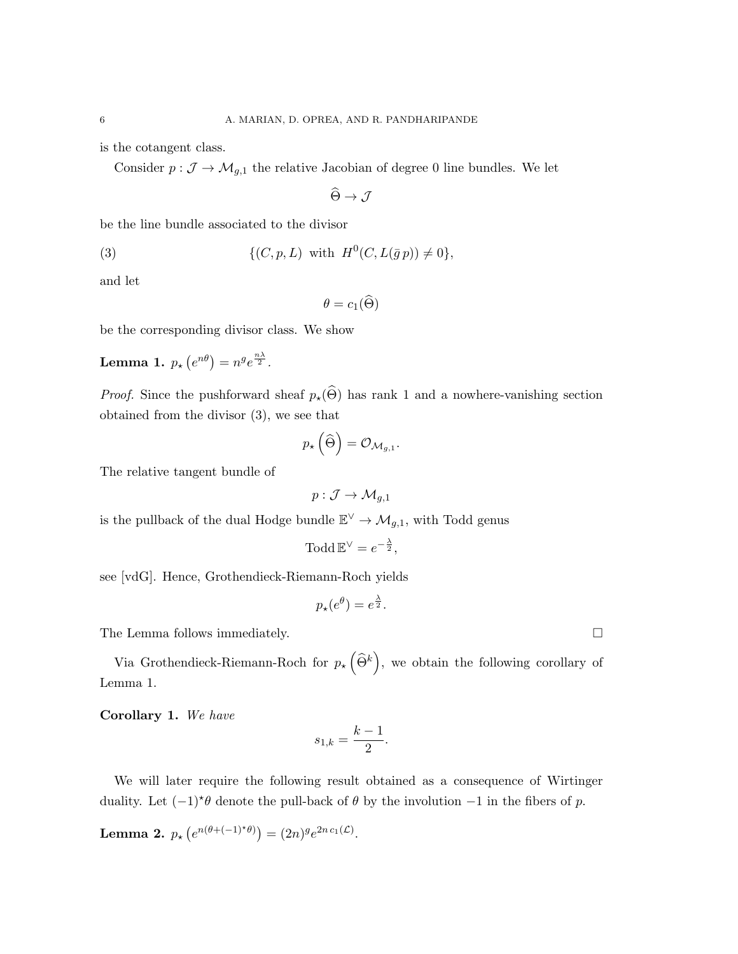is the cotangent class.

Consider  $p: \mathcal{J} \to \mathcal{M}_{g,1}$  the relative Jacobian of degree 0 line bundles. We let

$$
\widehat{\Theta} \to \mathcal{J}
$$

be the line bundle associated to the divisor

(3) 
$$
\{(C, p, L) \text{ with } H^0(C, L(\bar{g} p)) \neq 0\},\
$$

and let

$$
\theta = c_1(\widehat{\Theta})
$$

be the corresponding divisor class. We show

Lemma 1.  $p_{\star} (e^{n\theta}) = n^{g} e^{\frac{n\lambda}{2}}$ .

*Proof.* Since the pushforward sheaf  $p_{\star}(\widehat{\Theta})$  has rank 1 and a nowhere-vanishing section obtained from the divisor (3), we see that

$$
p_{\star}\left(\widehat{\Theta}\right) = \mathcal{O}_{\mathcal{M}_{g,1}}
$$

.

The relative tangent bundle of

$$
p: \mathcal{J} \to \mathcal{M}_{g,1}
$$

is the pullback of the dual Hodge bundle  $\mathbb{E}^{\vee} \to \mathcal{M}_{g,1}$ , with Todd genus

$$
\mathrm{Todd}\,\mathbb{E}^{\vee} = e^{-\frac{\lambda}{2}},
$$

see [vdG]. Hence, Grothendieck-Riemann-Roch yields

$$
p_{\star}(e^{\theta}) = e^{\frac{\lambda}{2}}.
$$

The Lemma follows immediately.  $\Box$ 

Via Grothendieck-Riemann-Roch for  $p_{\star}(\widehat{\Theta}^k)$ , we obtain the following corollary of Lemma 1.

Corollary 1. We have

$$
s_{1,k} = \frac{k-1}{2}.
$$

We will later require the following result obtained as a consequence of Wirtinger duality. Let  $(-1)^{\star}\theta$  denote the pull-back of  $\theta$  by the involution  $-1$  in the fibers of p.

**Lemma 2.**  $p_{\star} (e^{n(\theta+(-1)^{\star}\theta)}) = (2n)^{g} e^{2n c_1(\mathcal{L})}$ .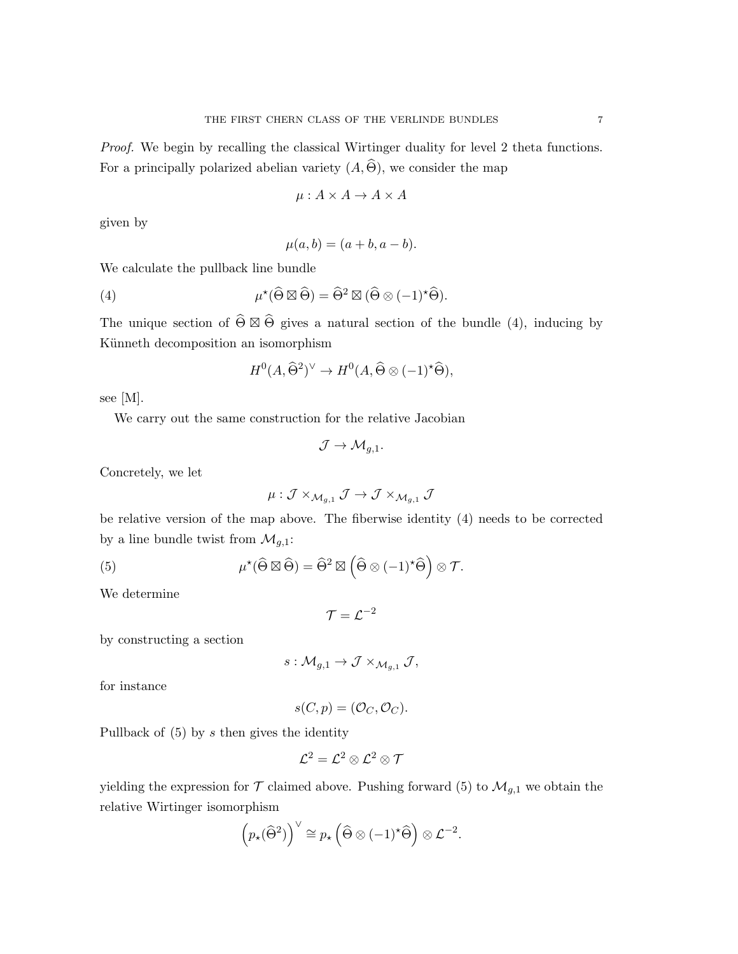$$
\mu: A \times A \to A \times A
$$

given by

$$
\mu(a,b) = (a+b, a-b).
$$

We calculate the pullback line bundle

(4) 
$$
\mu^{\star}(\widehat{\Theta} \boxtimes \widehat{\Theta}) = \widehat{\Theta}^2 \boxtimes (\widehat{\Theta} \otimes (-1)^{\star} \widehat{\Theta}).
$$

The unique section of  $\widehat{\Theta} \boxtimes \widehat{\Theta}$  gives a natural section of the bundle (4), inducing by Künneth decomposition an isomorphism

$$
H^0(A, \widehat{\Theta}^2)^{\vee} \to H^0(A, \widehat{\Theta} \otimes (-1)^{\star} \widehat{\Theta}),
$$

see [M].

We carry out the same construction for the relative Jacobian

$$
\mathcal{J} \to \mathcal{M}_{g,1}.
$$

Concretely, we let

$$
\mu: \mathcal{J} \times_{\mathcal{M}_{g,1}} \mathcal{J} \to \mathcal{J} \times_{\mathcal{M}_{g,1}} \mathcal{J}
$$

be relative version of the map above. The fiberwise identity (4) needs to be corrected by a line bundle twist from  $\mathcal{M}_{g,1}$ :

(5) 
$$
\mu^{\star}(\widehat{\Theta} \boxtimes \widehat{\Theta}) = \widehat{\Theta}^2 \boxtimes \left(\widehat{\Theta} \otimes (-1)^{\star} \widehat{\Theta}\right) \otimes \mathcal{T}.
$$

We determine

 $\mathcal{T}=\mathcal{L}^{-2}$ 

by constructing a section

$$
s:\mathcal{M}_{g,1}\to \mathcal{J}\times_{\mathcal{M}_{g,1}}\mathcal{J},
$$

for instance

$$
s(C, p) = (\mathcal{O}_C, \mathcal{O}_C).
$$

Pullback of  $(5)$  by s then gives the identity

$$
\mathcal{L}^2=\mathcal{L}^2\otimes\mathcal{L}^2\otimes\mathcal{T}
$$

yielding the expression for  $\mathcal T$  claimed above. Pushing forward (5) to  $\mathcal M_{g,1}$  we obtain the relative Wirtinger isomorphism

$$
\left(p_{\star}(\widehat{\Theta}^2)\right)^{\vee}\cong p_{\star}\left(\widehat{\Theta}\otimes(-1)^{\star}\widehat{\Theta}\right)\otimes\mathcal{L}^{-2}.
$$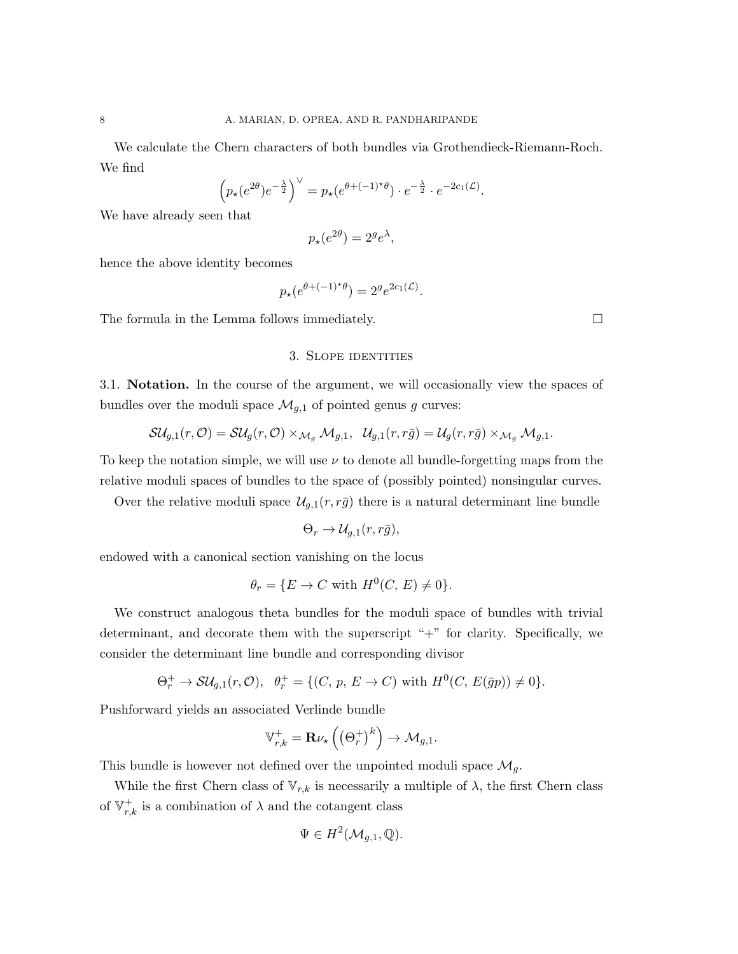We calculate the Chern characters of both bundles via Grothendieck-Riemann-Roch. We find

$$
\left(p_\star(e^{2\theta})e^{-\frac{\lambda}{2}}\right)^\vee = p_\star(e^{\theta+(-1)^\star\theta}) \cdot e^{-\frac{\lambda}{2}} \cdot e^{-2c_1(\mathcal{L})}.
$$

We have already seen that

$$
p_{\star}(e^{2\theta}) = 2^g e^{\lambda},
$$

hence the above identity becomes

$$
p_{\star}(e^{\theta+(-1)^{\star}\theta}) = 2^{g}e^{2c_1(\mathcal{L})}.
$$

The formula in the Lemma follows immediately.  $\Box$ 

# 3. Slope identities

3.1. Notation. In the course of the argument, we will occasionally view the spaces of bundles over the moduli space  $\mathcal{M}_{g,1}$  of pointed genus g curves:

$$
\mathcal{SU}_{g,1}(r,\mathcal{O})=\mathcal{SU}_g(r,\mathcal{O})\times_{\mathcal{M}_g}\mathcal{M}_{g,1},\;\; \mathcal{U}_{g,1}(r,r\bar{g})=\mathcal{U}_g(r,r\bar{g})\times_{\mathcal{M}_g}\mathcal{M}_{g,1}.
$$

To keep the notation simple, we will use  $\nu$  to denote all bundle-forgetting maps from the relative moduli spaces of bundles to the space of (possibly pointed) nonsingular curves.

Over the relative moduli space  $\mathcal{U}_{g,1}(r,r\bar{g})$  there is a natural determinant line bundle

$$
\Theta_r \to \mathcal{U}_{g,1}(r,r\bar{g}),
$$

endowed with a canonical section vanishing on the locus

$$
\theta_r = \{ E \to C \text{ with } H^0(C, E) \neq 0 \}.
$$

We construct analogous theta bundles for the moduli space of bundles with trivial determinant, and decorate them with the superscript "+" for clarity. Specifically, we consider the determinant line bundle and corresponding divisor

$$
\Theta_r^+ \to \mathcal{S}U_{g,1}(r,\mathcal{O}), \quad \theta_r^+ = \{ (C, p, E \to C) \text{ with } H^0(C, E(\bar{g}p)) \neq 0 \}.
$$

Pushforward yields an associated Verlinde bundle

$$
\mathbb{V}_{r,k}^+ = \mathbf{R} \nu_{\star} \left( \left( \Theta_r^+ \right)^k \right) \to \mathcal{M}_{g,1}.
$$

This bundle is however not defined over the unpointed moduli space  $\mathcal{M}_q$ .

While the first Chern class of  $V_{r,k}$  is necessarily a multiple of  $\lambda$ , the first Chern class of  $\mathbb{V}_{r,k}^+$  is a combination of  $\lambda$  and the cotangent class

$$
\Psi \in H^2(\mathcal{M}_{g,1},\mathbb{Q}).
$$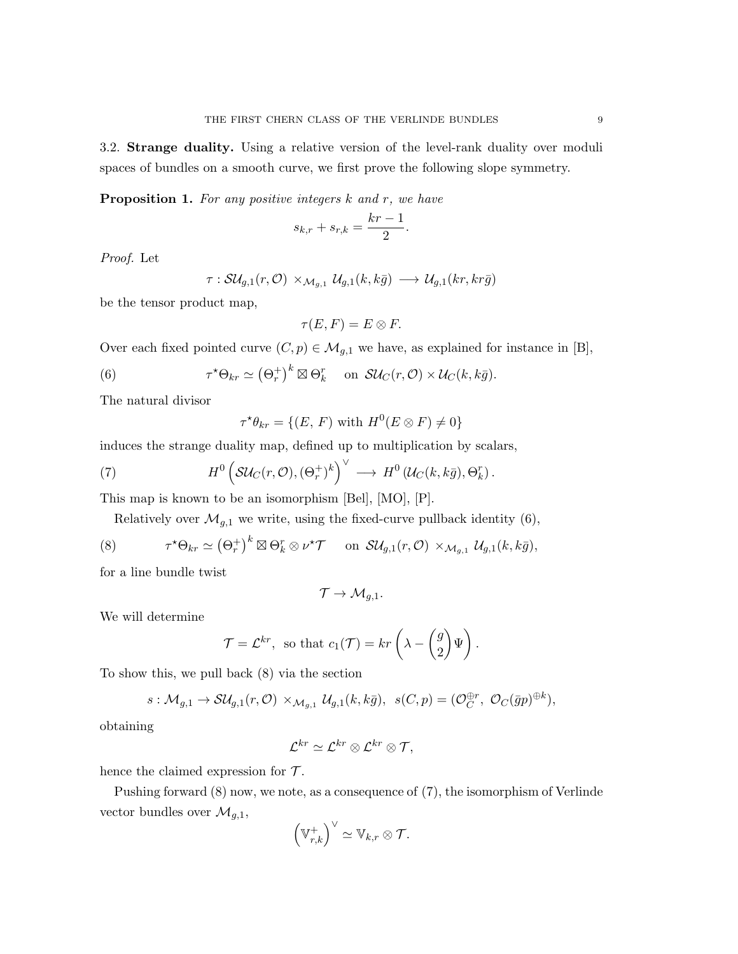3.2. Strange duality. Using a relative version of the level-rank duality over moduli spaces of bundles on a smooth curve, we first prove the following slope symmetry.

**Proposition 1.** For any positive integers  $k$  and  $r$ , we have

$$
s_{k,r} + s_{r,k} = \frac{kr-1}{2}.
$$

Proof. Let

$$
\tau: \mathcal{SU}_{g,1}(r,\mathcal{O})\times_{\mathcal{M}_{g,1}}\mathcal{U}_{g,1}(k,k\bar{g})\longrightarrow \mathcal{U}_{g,1}(kr,kr\bar{g})
$$

be the tensor product map,

$$
\tau(E, F) = E \otimes F.
$$

Over each fixed pointed curve  $(C, p) \in \mathcal{M}_{g,1}$  we have, as explained for instance in [B],

(6) 
$$
\tau^* \Theta_{kr} \simeq (\Theta_r^+)^k \boxtimes \Theta_k^r \quad \text{on} \quad \mathcal{SU}_C(r, \mathcal{O}) \times \mathcal{U}_C(k, k\bar{g}).
$$

The natural divisor

$$
\tau^{\star}\theta_{kr} = \{(E, F) \text{ with } H^0(E \otimes F) \neq 0\}
$$

induces the strange duality map, defined up to multiplication by scalars,

(7) 
$$
H^0\left(\mathcal{SU}_C(r,\mathcal{O}),(\Theta_r^+)^k\right)^\vee\longrightarrow H^0\left(\mathcal{U}_C(k,k\bar{g}),\Theta_k^r\right).
$$

This map is known to be an isomorphism [Bel], [MO], [P].

Relatively over  $\mathcal{M}_{g,1}$  we write, using the fixed-curve pullback identity (6),

(8) 
$$
\tau^* \Theta_{kr} \simeq (\Theta_r^+)^k \boxtimes \Theta_k^r \otimes \nu^* \mathcal{T} \quad \text{on } \mathcal{SU}_{g,1}(r,\mathcal{O}) \times_{\mathcal{M}_{g,1}} \mathcal{U}_{g,1}(k,k\bar{g}),
$$

for a line bundle twist

$$
\mathcal{T} \to \mathcal{M}_{g,1}.
$$

We will determine

$$
\mathcal{T} = \mathcal{L}^{kr}, \text{ so that } c_1(\mathcal{T}) = kr\left(\lambda - \begin{pmatrix} g \\ 2 \end{pmatrix} \Psi\right).
$$

To show this, we pull back (8) via the section

$$
s: \mathcal{M}_{g,1} \to \mathcal{SU}_{g,1}(r,\mathcal{O}) \times_{\mathcal{M}_{g,1}} \mathcal{U}_{g,1}(k,k\bar{g}), \ \ s(C,p) = (\mathcal{O}_C^{\oplus r}, \ \mathcal{O}_C(\bar{g}p)^{\oplus k}),
$$

obtaining

$$
\mathcal{L}^{kr} \simeq \mathcal{L}^{kr} \otimes \mathcal{L}^{kr} \otimes \mathcal{T},
$$

hence the claimed expression for  $\mathcal{T}$ .

Pushing forward (8) now, we note, as a consequence of (7), the isomorphism of Verlinde vector bundles over  $\mathcal{M}_{g,1}$ ,

$$
\left(\mathbb{V}_{r,k}^+\right)^\vee\simeq \mathbb{V}_{k,r}\otimes \mathcal{T}.
$$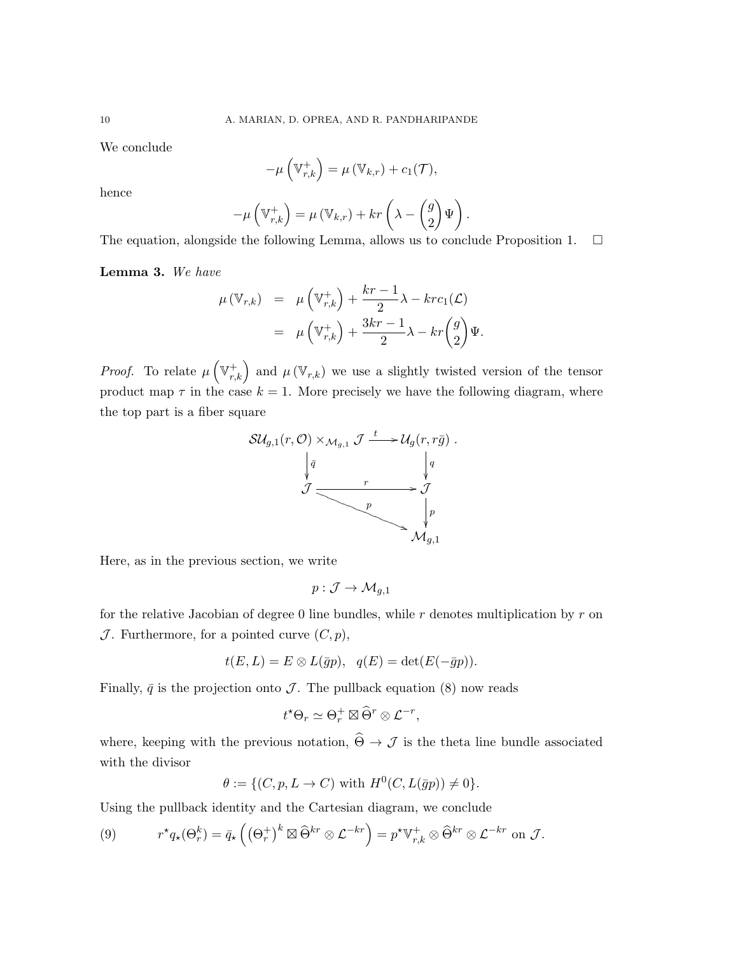We conclude

$$
-\mu\left(\mathbb{V}_{r,k}^+\right) = \mu\left(\mathbb{V}_{k,r}\right) + c_1(\mathcal{T}),
$$

hence

$$
-\mu\left(\mathbb{V}_{r,k}^+\right) = \mu\left(\mathbb{V}_{k,r}\right) + kr\left(\lambda - \begin{pmatrix} g \\ 2 \end{pmatrix}\Psi\right).
$$

The equation, alongside the following Lemma, allows us to conclude Proposition 1.  $\Box$ 

Lemma 3. We have

$$
\mu(\mathbb{V}_{r,k}) = \mu(\mathbb{V}_{r,k}^+) + \frac{kr-1}{2}\lambda - krc_1(\mathcal{L})
$$
  
= 
$$
\mu(\mathbb{V}_{r,k}^+) + \frac{3kr-1}{2}\lambda - kr\binom{g}{2}\Psi.
$$

*Proof.* To relate  $\mu\left(\mathbb{V}_{r,k}^+\right)$  and  $\mu\left(\mathbb{V}_{r,k}\right)$  we use a slightly twisted version of the tensor product map  $\tau$  in the case  $k = 1$ . More precisely we have the following diagram, where the top part is a fiber square



Here, as in the previous section, we write

$$
p:\mathcal{J}\rightarrow \mathcal{M}_{g,1}
$$

for the relative Jacobian of degree 0 line bundles, while  $r$  denotes multiplication by  $r$  on  $\mathcal J$ . Furthermore, for a pointed curve  $(C, p)$ ,

$$
t(E, L) = E \otimes L(\bar{g}p), \quad q(E) = \det(E(-\bar{g}p)).
$$

Finally,  $\bar{q}$  is the projection onto  $\mathcal{J}$ . The pullback equation (8) now reads

$$
t^{\star} \Theta_r \simeq \Theta_r^+ \boxtimes \widehat{\Theta}^r \otimes \mathcal{L}^{-r},
$$

where, keeping with the previous notation,  $\hat{\Theta} \rightarrow \mathcal{J}$  is the theta line bundle associated with the divisor

$$
\theta := \{ (C, p, L \to C) \text{ with } H^0(C, L(\bar{g}p)) \neq 0 \}.
$$

Using the pullback identity and the Cartesian diagram, we conclude

(9) 
$$
r^{\star}q_{\star}(\Theta_r^k) = \bar{q}_{\star}\left((\Theta_r^+)^k \boxtimes \widehat{\Theta}^{kr} \otimes \mathcal{L}^{-kr}\right) = p^{\star}\mathbb{V}_{r,k}^+ \otimes \widehat{\Theta}^{kr} \otimes \mathcal{L}^{-kr} \text{ on } \mathcal{J}.
$$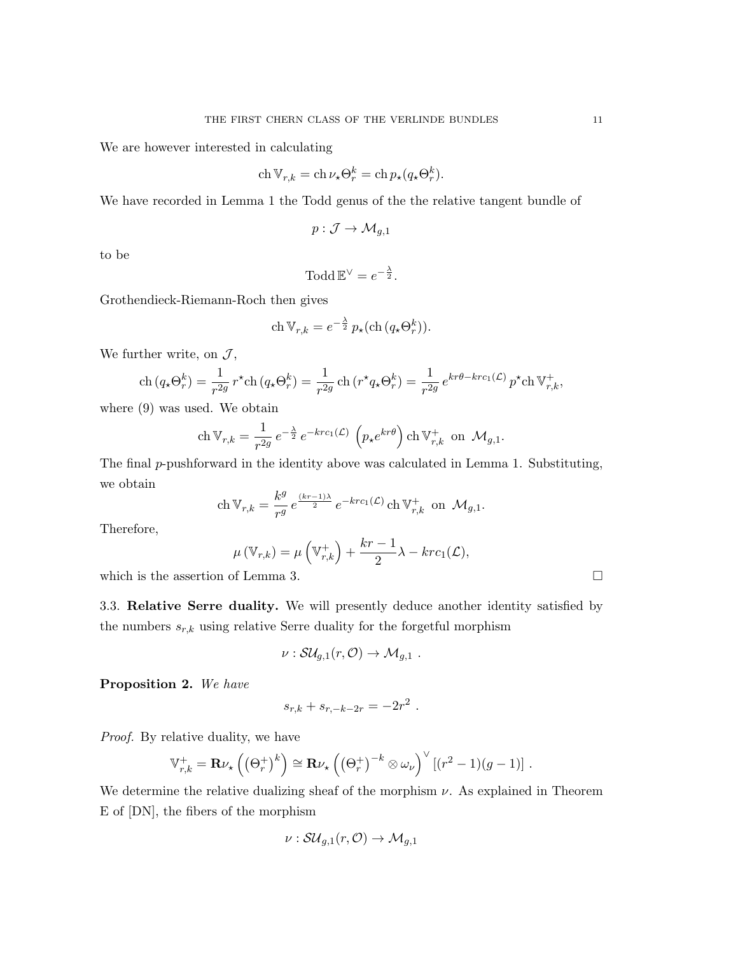We are however interested in calculating

$$
\operatorname{ch} \mathbb{V}_{r,k} = \operatorname{ch} \nu_{\star} \Theta_r^k = \operatorname{ch} p_{\star} (q_{\star} \Theta_r^k).
$$

We have recorded in Lemma 1 the Todd genus of the the relative tangent bundle of

$$
p: \mathcal{J} \to \mathcal{M}_{g,1}
$$

to be

$$
\text{ Todd } \mathbb{E}^{\vee} = e^{-\frac{\lambda}{2}}.
$$

Grothendieck-Riemann-Roch then gives

$$
\operatorname{ch} \mathbb{V}_{r,k} = e^{-\frac{\lambda}{2}} p_{\star}(\operatorname{ch} (q_{\star} \Theta^k_r)).
$$

We further write, on  $\mathcal{J}$ ,

$$
\operatorname{ch}(q_{\star}\Theta^k_r) = \frac{1}{r^{2g}} r^{\star} \operatorname{ch}(q_{\star}\Theta^k_r) = \frac{1}{r^{2g}} \operatorname{ch}(r^{\star}q_{\star}\Theta^k_r) = \frac{1}{r^{2g}} e^{kr\theta - krc_1(\mathcal{L})} p^{\star} \operatorname{ch} \mathbb{V}^+_{r,k},
$$

where (9) was used. We obtain

$$
\mathrm{ch}\, \mathbb V_{r,k} = \frac{1}{r^{2g}}\, e^{-\frac{\lambda}{2}}\, e^{-krc_1(\mathcal L)}\, \left(p_\star e^{kr\theta}\right) \mathrm{ch}\, \mathbb V_{r,k}^+\, \text{ on }\, \mathcal M_{g,1}.
$$

The final p-pushforward in the identity above was calculated in Lemma 1. Substituting, we obtain

$$
\operatorname{ch} \mathbb{V}_{r,k} = \frac{k^g}{r^g} e^{\frac{(kr-1)\lambda}{2}} e^{-krc_1(\mathcal{L})} \operatorname{ch} \mathbb{V}_{r,k}^+ \text{ on } \mathcal{M}_{g,1}.
$$

Therefore,

$$
\mu(\mathbb{V}_{r,k}) = \mu\left(\mathbb{V}_{r,k}^+\right) + \frac{kr-1}{2}\lambda - krc_1(\mathcal{L}),
$$

which is the assertion of Lemma 3.  $\Box$ 

3.3. Relative Serre duality. We will presently deduce another identity satisfied by the numbers  $s_{r,k}$  using relative Serre duality for the forgetful morphism

$$
\nu: \mathcal{SU}_{g,1}(r,\mathcal{O})\to \mathcal{M}_{g,1} .
$$

Proposition 2. We have

$$
s_{r,k} + s_{r,-k-2r} = -2r^2.
$$

Proof. By relative duality, we have

$$
\mathbb{V}_{r,k}^+ = \mathbf{R} \nu_{\star} \left( \left( \Theta_r^+ \right)^k \right) \cong \mathbf{R} \nu_{\star} \left( \left( \Theta_r^+ \right)^{-k} \otimes \omega_{\nu} \right)^{\vee} \left[ \left( r^2 - 1 \right) \left( g - 1 \right) \right] .
$$

We determine the relative dualizing sheaf of the morphism  $\nu$ . As explained in Theorem E of [DN], the fibers of the morphism

$$
\nu: \mathcal{SU}_{g,1}(r,\mathcal{O}) \to \mathcal{M}_{g,1}
$$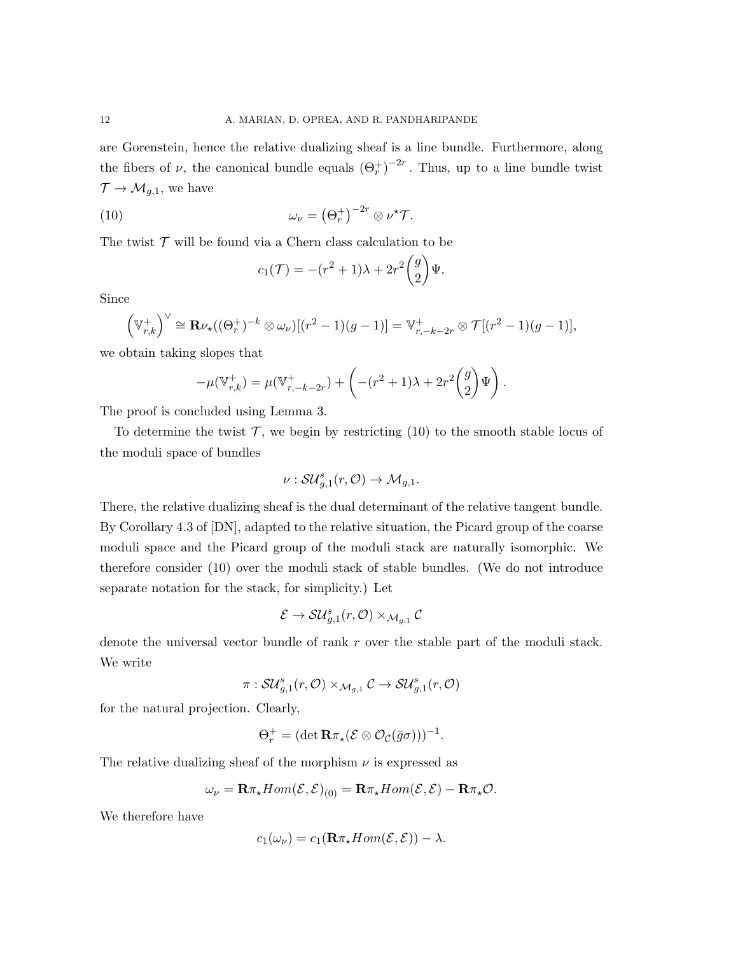are Gorenstein, hence the relative dualizing sheaf is a line bundle. Furthermore, along the fibers of  $\nu$ , the canonical bundle equals  $(\Theta_r^+)^{-2r}$ . Thus, up to a line bundle twist  $\mathcal{T} \to \mathcal{M}_{g,1}$ , we have

(10) 
$$
\omega_{\nu} = (\Theta_r^+)^{-2r} \otimes \nu^{\star} \mathcal{T}.
$$

The twist  $\mathcal T$  will be found via a Chern class calculation to be

$$
c_1(\mathcal{T}) = -(r^2+1)\lambda + 2r^2 \binom{g}{2} \Psi.
$$

Since

$$
\left(\mathbb{V}_{r,k}^+\right)^{\vee}\cong \mathbf{R}\nu_{\star}((\Theta_r^+)^{-k}\otimes\omega_{\nu})[(r^2-1)(g-1)]=\mathbb{V}_{r,-k-2r}^+\otimes \mathcal{T}[(r^2-1)(g-1)],
$$

we obtain taking slopes that

$$
-\mu(\mathbb{V}_{r,k}^+) = \mu(\mathbb{V}_{r,-k-2r}^+) + \left( -(r^2+1)\lambda + 2r^2 \binom{g}{2} \Psi \right).
$$

The proof is concluded using Lemma 3.

To determine the twist  $\mathcal{T}$ , we begin by restricting (10) to the smooth stable locus of the moduli space of bundles

$$
\nu: \mathcal{SU}_{g,1}^s(r,\mathcal{O})\to \mathcal{M}_{g,1}.
$$

There, the relative dualizing sheaf is the dual determinant of the relative tangent bundle. By Corollary 4.3 of [DN], adapted to the relative situation, the Picard group of the coarse moduli space and the Picard group of the moduli stack are naturally isomorphic. We therefore consider (10) over the moduli stack of stable bundles. (We do not introduce separate notation for the stack, for simplicity.) Let

$$
\mathcal{E} \to \mathcal{S} \mathcal{U}_{g,1}^s(r, \mathcal{O}) \times_{\mathcal{M}_{g,1}} \mathcal{C}
$$

denote the universal vector bundle of rank r over the stable part of the moduli stack. We write

$$
\pi: \mathcal{SU}_{g,1}^s(r,\mathcal{O}) \times_{\mathcal{M}_{g,1}} \mathcal{C} \to \mathcal{SU}_{g,1}^s(r,\mathcal{O})
$$

for the natural projection. Clearly,

$$
\Theta_r^+ = (\det \mathbf{R} \pi_\star (\mathcal{E} \otimes \mathcal{O}_{\mathcal{C}}(\bar{g}\sigma)))^{-1}.
$$

The relative dualizing sheaf of the morphism  $\nu$  is expressed as

$$
\omega_{\nu} = \mathbf{R}\pi_{\star}Hom(\mathcal{E}, \mathcal{E})_{(0)} = \mathbf{R}\pi_{\star}Hom(\mathcal{E}, \mathcal{E}) - \mathbf{R}\pi_{\star}\mathcal{O}.
$$

We therefore have

$$
c_1(\omega_{\nu}) = c_1(\mathbf{R}\pi_{\star}Hom(\mathcal{E}, \mathcal{E})) - \lambda.
$$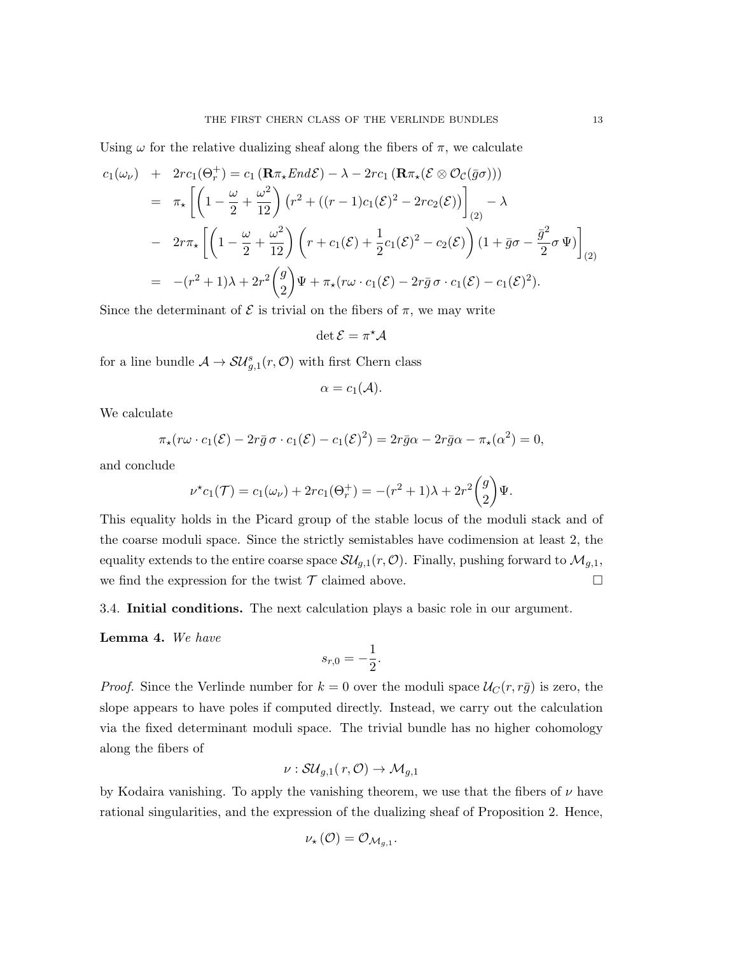Using  $\omega$  for the relative dualizing sheaf along the fibers of  $\pi$ , we calculate

$$
c_1(\omega_{\nu}) + 2rc_1(\Theta_r^+) = c_1 (\mathbf{R}\pi_{\star}End\mathcal{E}) - \lambda - 2rc_1 (\mathbf{R}\pi_{\star}(\mathcal{E}\otimes\mathcal{O}_{\mathcal{C}}(\bar{g}\sigma)))
$$
  
\n
$$
= \pi_{\star} \left[ \left( 1 - \frac{\omega}{2} + \frac{\omega^2}{12} \right) \left( r^2 + \left( (r-1)c_1(\mathcal{E})^2 - 2rc_2(\mathcal{E}) \right) \right]_{(2)} - \lambda
$$
  
\n
$$
- 2r\pi_{\star} \left[ \left( 1 - \frac{\omega}{2} + \frac{\omega^2}{12} \right) \left( r + c_1(\mathcal{E}) + \frac{1}{2}c_1(\mathcal{E})^2 - c_2(\mathcal{E}) \right) \left( 1 + \bar{g}\sigma - \frac{\bar{g}^2}{2}\sigma \Psi \right) \right]_{(2)}
$$
  
\n
$$
= -(r^2 + 1)\lambda + 2r^2 \binom{g}{2} \Psi + \pi_{\star}(r\omega \cdot c_1(\mathcal{E}) - 2r\bar{g}\sigma \cdot c_1(\mathcal{E}) - c_1(\mathcal{E})^2).
$$

Since the determinant of  $\mathcal E$  is trivial on the fibers of  $\pi$ , we may write

$$
\det \mathcal{E} = \pi^{\star} \mathcal{A}
$$

for a line bundle  $\mathcal{A} \to \mathcal{S} \mathcal{U}_{g,1}^s(r, \mathcal{O})$  with first Chern class

$$
\alpha = c_1(\mathcal{A}).
$$

We calculate

$$
\pi_{\star}(r\omega \cdot c_1(\mathcal{E}) - 2r\bar{g}\,\sigma \cdot c_1(\mathcal{E}) - c_1(\mathcal{E})^2) = 2r\bar{g}\alpha - 2r\bar{g}\alpha - \pi_{\star}(\alpha^2) = 0,
$$

and conclude

$$
\nu^* c_1(\mathcal{T}) = c_1(\omega_\nu) + 2rc_1(\Theta_r^+) = -(r^2 + 1)\lambda + 2r^2\binom{g}{2}\Psi.
$$

This equality holds in the Picard group of the stable locus of the moduli stack and of the coarse moduli space. Since the strictly semistables have codimension at least 2, the equality extends to the entire coarse space  $\mathcal{SU}_{g,1}(r,\mathcal{O})$ . Finally, pushing forward to  $\mathcal{M}_{g,1}$ , we find the expression for the twist  $\mathcal T$  claimed above.

3.4. Initial conditions. The next calculation plays a basic role in our argument.

Lemma 4. We have

$$
s_{r,0} = -\frac{1}{2}.
$$

*Proof.* Since the Verlinde number for  $k = 0$  over the moduli space  $\mathcal{U}_C(r, r\bar{g})$  is zero, the slope appears to have poles if computed directly. Instead, we carry out the calculation via the fixed determinant moduli space. The trivial bundle has no higher cohomology along the fibers of

$$
\nu: {\cal S}{\cal U}_{g,1}(\,r,{\cal O})\rightarrow {\cal M}_{g,1}
$$

by Kodaira vanishing. To apply the vanishing theorem, we use that the fibers of  $\nu$  have rational singularities, and the expression of the dualizing sheaf of Proposition 2. Hence,

$$
\nu_{\star}(\mathcal{O})=\mathcal{O}_{\mathcal{M}_{g,1}}.
$$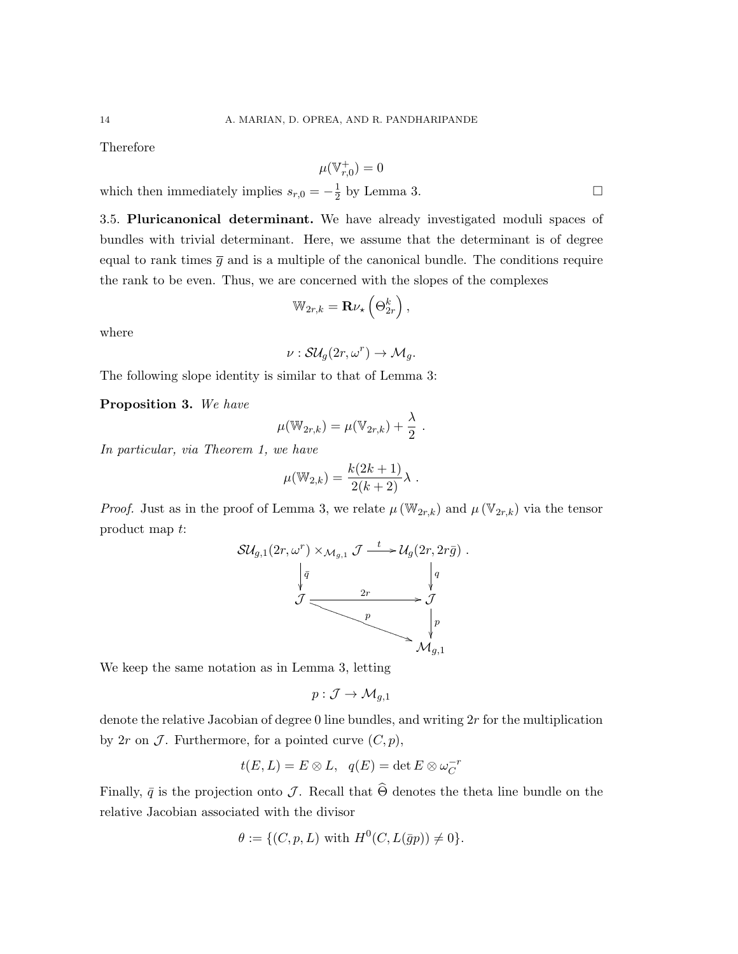Therefore

$$
\mu(\mathbb V_{r,0}^+)=0
$$

which then immediately implies  $s_{r,0} = -\frac{1}{2}$  $\frac{1}{2}$  by Lemma 3.

3.5. Pluricanonical determinant. We have already investigated moduli spaces of bundles with trivial determinant. Here, we assume that the determinant is of degree equal to rank times  $\bar{g}$  and is a multiple of the canonical bundle. The conditions require the rank to be even. Thus, we are concerned with the slopes of the complexes

$$
\mathbb{W}_{2r,k} = \mathbf{R} \nu_{\star} \left( \Theta_{2r}^{k} \right),
$$

where

$$
\nu: \mathcal{S}\mathcal{U}_g(2r,\omega^r) \to \mathcal{M}_g.
$$

The following slope identity is similar to that of Lemma 3:

Proposition 3. We have

$$
\mu(\mathbb{W}_{2r,k}) = \mu(\mathbb{V}_{2r,k}) + \frac{\lambda}{2} .
$$

In particular, via Theorem 1, we have

$$
\mu(\mathbb{W}_{2,k}) = \frac{k(2k+1)}{2(k+2)}\lambda.
$$

*Proof.* Just as in the proof of Lemma 3, we relate  $\mu(\mathbb{W}_{2r,k})$  and  $\mu(\mathbb{V}_{2r,k})$  via the tensor product map t:

$$
\mathcal{SU}_{g,1}(2r,\omega^r) \times_{\mathcal{M}_{g,1}} \mathcal{J} \xrightarrow{t} \mathcal{U}_g(2r,2r\bar{g}) .
$$
\n
$$
\downarrow \bar{q} \qquad \qquad \downarrow q
$$
\n
$$
\mathcal{J} \xrightarrow{2r} \mathcal{J}
$$
\n
$$
\downarrow p
$$
\n
$$
\mathcal{M}_{g,1}
$$

We keep the same notation as in Lemma 3, letting

$$
p: \mathcal{J} \to \mathcal{M}_{g,1}
$$

denote the relative Jacobian of degree 0 line bundles, and writing 2r for the multiplication by  $2r$  on  $\mathcal J$ . Furthermore, for a pointed curve  $(C, p)$ ,

$$
t(E, L) = E \otimes L, \quad q(E) = \det E \otimes \omega_C^{-r}
$$

Finally,  $\bar{q}$  is the projection onto J. Recall that  $\widehat{\Theta}$  denotes the theta line bundle on the relative Jacobian associated with the divisor

$$
\theta := \{ (C, p, L) \text{ with } H^0(C, L(\bar{g}p)) \neq 0 \}.
$$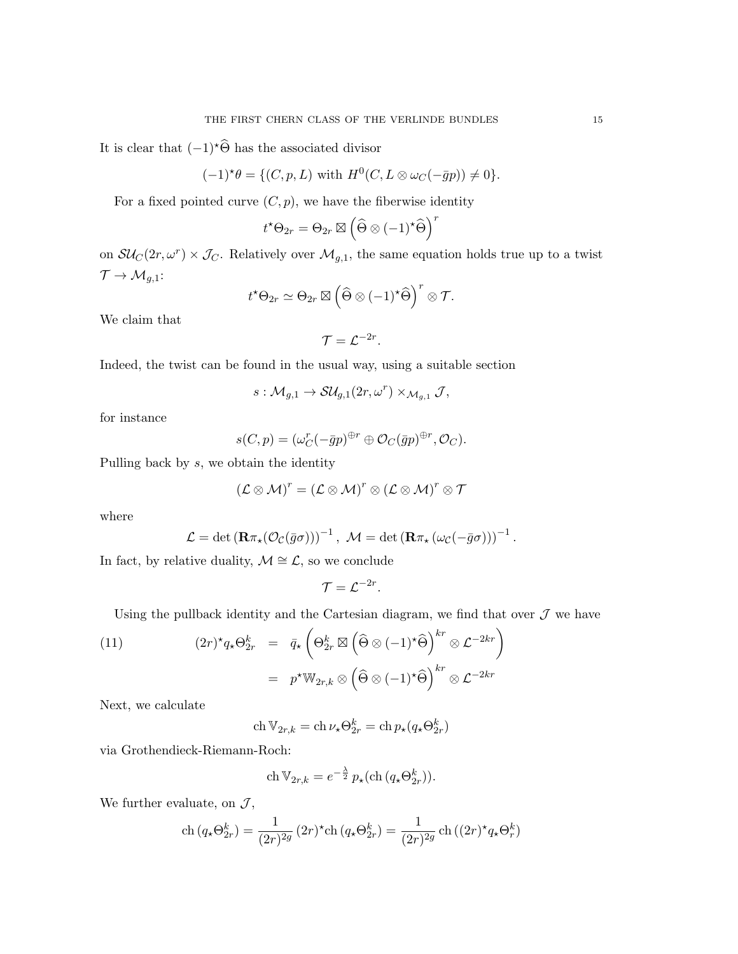It is clear that  $(-1)^\star\widehat{\Theta}$  has the associated divisor

$$
(-1)^{\star}\theta = \{ (C, p, L) \text{ with } H^0(C, L \otimes \omega_C(-\bar{g}p)) \neq 0 \}.
$$

For a fixed pointed curve  $(C, p)$ , we have the fiberwise identity

$$
t^{\star}\Theta_{2r}=\Theta_{2r}\boxtimes\left(\widehat{\Theta}\otimes(-1)^{\star}\widehat{\Theta}\right)^{r}
$$

on  $\mathcal{SU}_C(2r,\omega^r) \times \mathcal{J}_C$ . Relatively over  $\mathcal{M}_{g,1}$ , the same equation holds true up to a twist  $\mathcal{T} \to \mathcal{M}_{g,1}$ :

$$
t^{\star}\Theta_{2r}\simeq \Theta_{2r}\boxtimes \left(\widehat{\Theta}\otimes (-1)^{\star}\widehat{\Theta}\right)^{r}\otimes \mathcal{T}.
$$

We claim that

$$
\mathcal{T}=\mathcal{L}^{-2r}.
$$

Indeed, the twist can be found in the usual way, using a suitable section

$$
s: \mathcal{M}_{g,1} \to \mathcal{S}\mathcal{U}_{g,1}(2r,\omega^r) \times_{\mathcal{M}_{g,1}} \mathcal{J},
$$

for instance

$$
s(C,p) = (\omega_C^r (-\bar{g}p)^{\oplus r} \oplus \mathcal{O}_C(\bar{g}p)^{\oplus r}, \mathcal{O}_C).
$$

Pulling back by s, we obtain the identity

$$
(\mathcal{L}\otimes\mathcal{M})^r=(\mathcal{L}\otimes\mathcal{M})^r\otimes(\mathcal{L}\otimes\mathcal{M})^r\otimes\mathcal{T}
$$

where

$$
\mathcal{L} = \det (\mathbf{R}\pi_{\star}(\mathcal{O}_{\mathcal{C}}(\bar{g}\sigma)))^{-1}, \ \mathcal{M} = \det (\mathbf{R}\pi_{\star}(\omega_{\mathcal{C}}(-\bar{g}\sigma)))^{-1}.
$$

In fact, by relative duality,  $\mathcal{M} \cong \mathcal{L}$ , so we conclude

$$
\mathcal{T}=\mathcal{L}^{-2r}.
$$

Using the pullback identity and the Cartesian diagram, we find that over  $\mathcal J$  we have

(11) 
$$
(2r)^{\star} q_{\star} \Theta_{2r}^{k} = \bar{q}_{\star} \left( \Theta_{2r}^{k} \boxtimes \left( \widehat{\Theta} \otimes (-1)^{\star} \widehat{\Theta} \right)^{kr} \otimes \mathcal{L}^{-2kr} \right)
$$

$$
= p^{\star} \mathbb{W}_{2r,k} \otimes \left( \widehat{\Theta} \otimes (-1)^{\star} \widehat{\Theta} \right)^{kr} \otimes \mathcal{L}^{-2kr}
$$

Next, we calculate

$$
\operatorname{ch} \mathbb{V}_{2r,k} = \operatorname{ch} \nu_{\star} \Theta_{2r}^{k} = \operatorname{ch} p_{\star} (q_{\star} \Theta_{2r}^{k})
$$

via Grothendieck-Riemann-Roch:

$$
\operatorname{ch} \mathbb{V}_{2r,k} = e^{-\frac{\lambda}{2}} p_{\star}(\operatorname{ch} (q_{\star} \Theta_{2r}^{k})).
$$

We further evaluate, on  $\mathcal{J},$ 

$$
\operatorname{ch}\left(q_{\star}\Theta_{2r}^{k}\right) = \frac{1}{(2r)^{2g}}\left(2r\right)^{\star}\operatorname{ch}\left(q_{\star}\Theta_{2r}^{k}\right) = \frac{1}{(2r)^{2g}}\operatorname{ch}\left((2r)^{\star}q_{\star}\Theta_{r}^{k}\right)
$$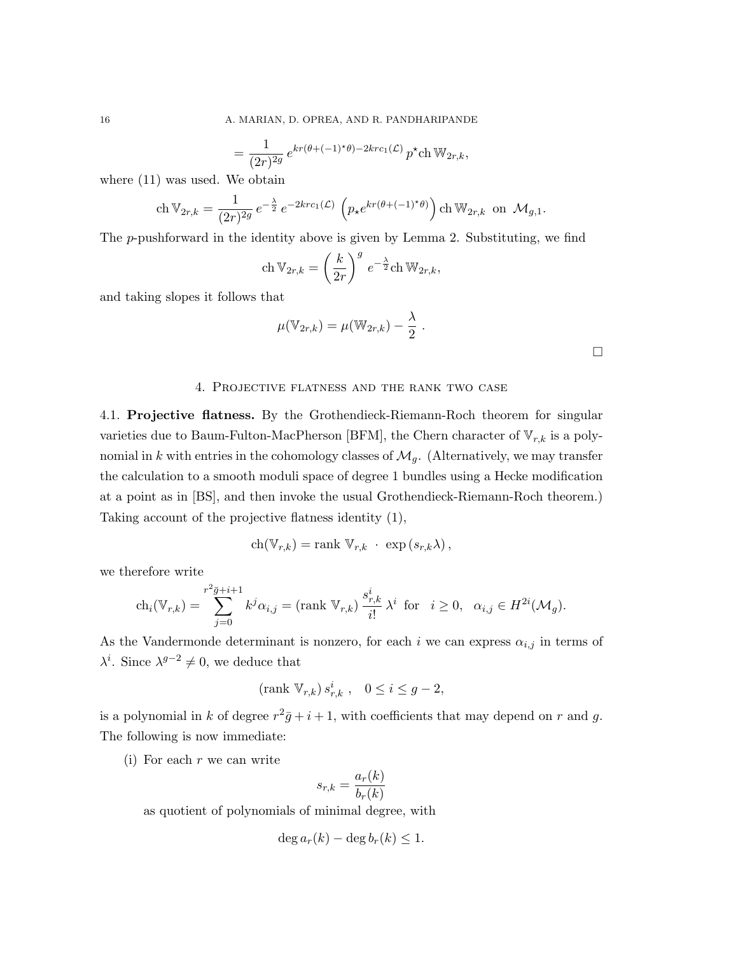$$
= \frac{1}{(2r)^{2g}} e^{kr(\theta+(-1)^{\star}\theta)-2krc_1(\mathcal{L})} p^{\star} \text{ch} \, \mathbb{W}_{2r,k},
$$

where (11) was used. We obtain

$$
\mathrm{ch}\, \mathbb V_{2r,k} = \frac{1}{(2r)^{2g}}\, e^{-\frac{\lambda}{2}}\, e^{-2krc_1(\mathcal L)}\, \left(p_\star e^{kr(\theta+(-1)^\star \theta)}\right) \mathrm{ch}\, \mathbb W_{2r,k} \ \text{ on } \ \mathcal M_{g,1}.
$$

The  $p$ -pushforward in the identity above is given by Lemma 2. Substituting, we find

$$
\operatorname{ch} \mathbb{V}_{2r,k} = \left(\frac{k}{2r}\right)^g e^{-\frac{\lambda}{2}} \operatorname{ch} \mathbb{W}_{2r,k},
$$

and taking slopes it follows that

$$
\mu(\mathbb{V}_{2r,k}) = \mu(\mathbb{W}_{2r,k}) - \frac{\lambda}{2}.
$$

 $\Box$ 

#### 4. Projective flatness and the rank two case

4.1. Projective flatness. By the Grothendieck-Riemann-Roch theorem for singular varieties due to Baum-Fulton-MacPherson [BFM], the Chern character of  $\mathbb{V}_{r,k}$  is a polynomial in k with entries in the cohomology classes of  $\mathcal{M}_g$ . (Alternatively, we may transfer the calculation to a smooth moduli space of degree 1 bundles using a Hecke modification at a point as in [BS], and then invoke the usual Grothendieck-Riemann-Roch theorem.) Taking account of the projective flatness identity (1),

$$
ch(\mathbb{V}_{r,k}) = \text{rank }\mathbb{V}_{r,k} \cdot \exp(s_{r,k}\lambda),
$$

we therefore write

$$
\operatorname{ch}_i(\mathbb{V}_{r,k}) = \sum_{j=0}^{r^2 \bar{g} + i + 1} k^j \alpha_{i,j} = (\operatorname{rank} \mathbb{V}_{r,k}) \frac{s^i_{r,k}}{i!} \lambda^i \text{ for } i \ge 0, \ \alpha_{i,j} \in H^{2i}(\mathcal{M}_g).
$$

As the Vandermonde determinant is nonzero, for each i we can express  $\alpha_{i,j}$  in terms of  $\lambda^{i}$ . Since  $\lambda^{g-2} \neq 0$ , we deduce that

$$
(\text{rank}\ \mathbb{V}_{r,k})\,s_{r,k}^i\ ,\quad 0\leq i\leq g-2,
$$

is a polynomial in k of degree  $r^2\bar{g}+i+1$ , with coefficients that may depend on r and g. The following is now immediate:

(i) For each  $r$  we can write

$$
s_{r,k} = \frac{a_r(k)}{b_r(k)}
$$

as quotient of polynomials of minimal degree, with

$$
\deg a_r(k) - \deg b_r(k) \leq 1.
$$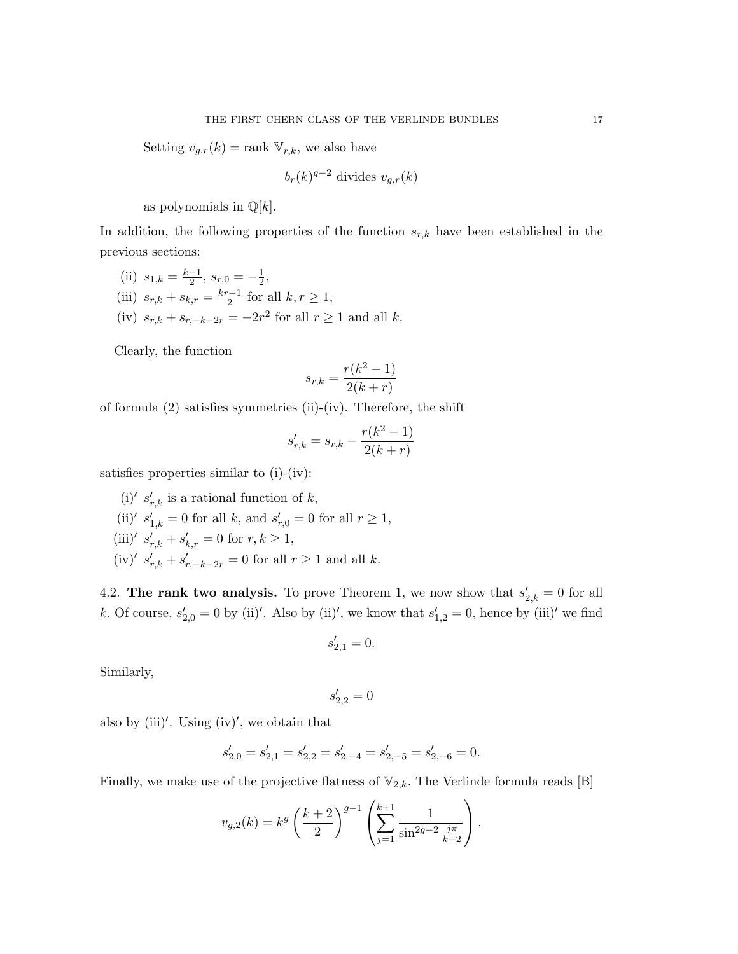Setting  $v_{g,r}(k) = \text{rank } \mathbb{V}_{r,k}$ , we also have

$$
b_r(k)^{g-2}
$$
 divides  $v_{g,r}(k)$ 

as polynomials in  $\mathbb{Q}[k]$ .

In addition, the following properties of the function  $s_{r,k}$  have been established in the previous sections:

(ii)  $s_{1,k} = \frac{k-1}{2}$  $\frac{-1}{2}$ ,  $s_{r,0} = -\frac{1}{2}$  $\frac{1}{2}$ (iii)  $s_{r,k} + s_{k,r} = \frac{kr-1}{2}$  $\frac{n-1}{2}$  for all  $k, r \geq 1$ , (iv)  $s_{r,k} + s_{r,-k-2r} = -2r^2$  for all  $r \ge 1$  and all k.

Clearly, the function

$$
s_{r,k} = \frac{r(k^2 - 1)}{2(k+r)}
$$

of formula (2) satisfies symmetries (ii)-(iv). Therefore, the shift

$$
s'_{r,k} = s_{r,k} - \frac{r(k^2 - 1)}{2(k+r)}
$$

satisfies properties similar to (i)-(iv):

- (i)'  $s'_{r,k}$  is a rational function of k,
- (ii)'  $s'_{1,k} = 0$  for all k, and  $s'_{r,0} = 0$  for all  $r \ge 1$ ,
- (iii)'  $s'_{r,k} + s'_{k,r} = 0$  for  $r, k \ge 1$ ,
- (iv)'  $s'_{r,k} + s'_{r,-k-2r} = 0$  for all  $r \ge 1$  and all k.

4.2. The rank two analysis. To prove Theorem 1, we now show that  $s'_{2,k} = 0$  for all k. Of course,  $s'_{2,0} = 0$  by (ii)'. Also by (ii)', we know that  $s'_{1,2} = 0$ , hence by (iii)' we find

$$
s_{2,1}^{\prime }=0.
$$

Similarly,

$$
s_{2,2}^{\prime }=0
$$

also by  $(iii)'$ . Using  $(iv)'$ , we obtain that

$$
s'_{2,0} = s'_{2,1} = s'_{2,2} = s'_{2,-4} = s'_{2,-5} = s'_{2,-6} = 0.
$$

Finally, we make use of the projective flatness of  $\mathbb{V}_{2,k}$ . The Verlinde formula reads [B]

$$
v_{g,2}(k) = k^g \left(\frac{k+2}{2}\right)^{g-1} \left(\sum_{j=1}^{k+1} \frac{1}{\sin^{2g-2} \frac{j\pi}{k+2}}\right).
$$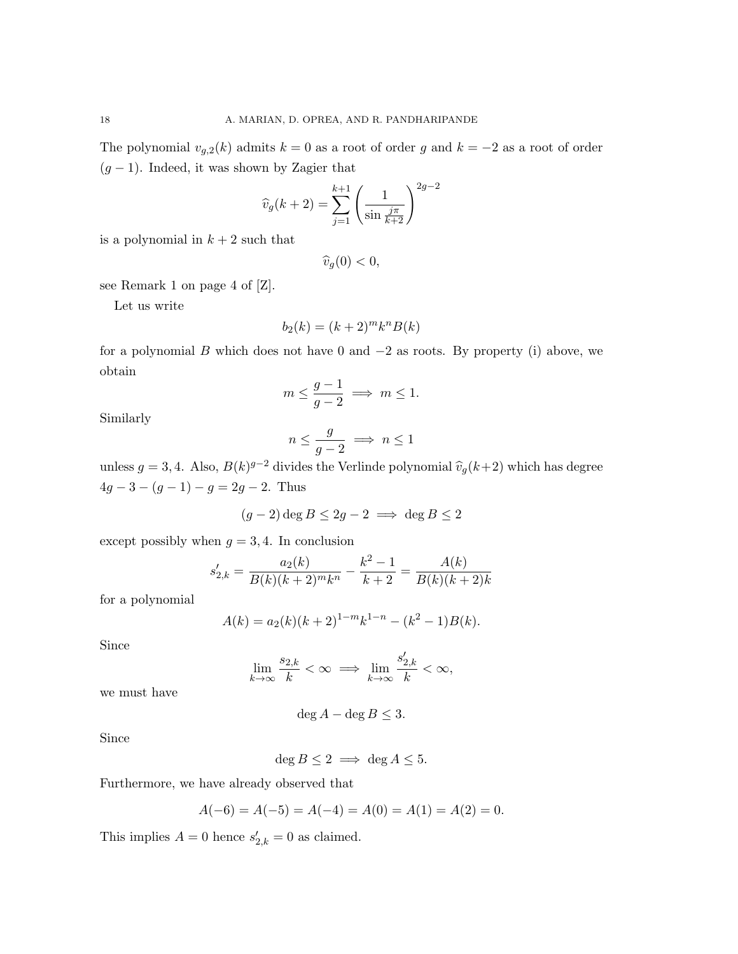The polynomial  $v_{g,2}(k)$  admits  $k = 0$  as a root of order g and  $k = -2$  as a root of order  $(g - 1)$ . Indeed, it was shown by Zagier that

$$
\widehat{v}_g(k+2) = \sum_{j=1}^{k+1} \left(\frac{1}{\sin \frac{j\pi}{k+2}}\right)^{2g-2}
$$

is a polynomial in  $k + 2$  such that

$$
\widehat{v}_g(0) < 0,
$$

see Remark 1 on page 4 of [Z].

Let us write

$$
b_2(k) = (k+2)^m k^n B(k)
$$

for a polynomial B which does not have 0 and  $-2$  as roots. By property (i) above, we obtain

$$
m \le \frac{g-1}{g-2} \implies m \le 1.
$$

Similarly

$$
n \le \frac{g}{g-2} \implies n \le 1
$$

unless  $g = 3, 4$ . Also,  $B(k)^{g-2}$  divides the Verlinde polynomial  $\hat{v}_g(k+2)$  which has degree  $4g - 3 - (g - 1) - g = 2g - 2$ . Thus

$$
(g-2)\deg B \le 2g-2 \implies \deg B \le 2
$$

except possibly when  $g = 3, 4$ . In conclusion

$$
s'_{2,k} = \frac{a_2(k)}{B(k)(k+2)^m k^n} - \frac{k^2 - 1}{k+2} = \frac{A(k)}{B(k)(k+2)k}
$$

for a polynomial

$$
A(k) = a_2(k)(k+2)^{1-m}k^{1-n} - (k^2 - 1)B(k).
$$

Since

$$
\lim_{k\to\infty}\frac{s_{2,k}}{k}<\infty\implies\lim_{k\to\infty}\frac{s'_{2,k}}{k}<\infty,
$$

we must have

deg  $A - \deg B \leq 3$ .

Since

 $\deg B \leq 2 \implies \deg A \leq 5.$ 

Furthermore, we have already observed that

$$
A(-6) = A(-5) = A(-4) = A(0) = A(1) = A(2) = 0.
$$

This implies  $A = 0$  hence  $s'_{2,k} = 0$  as claimed.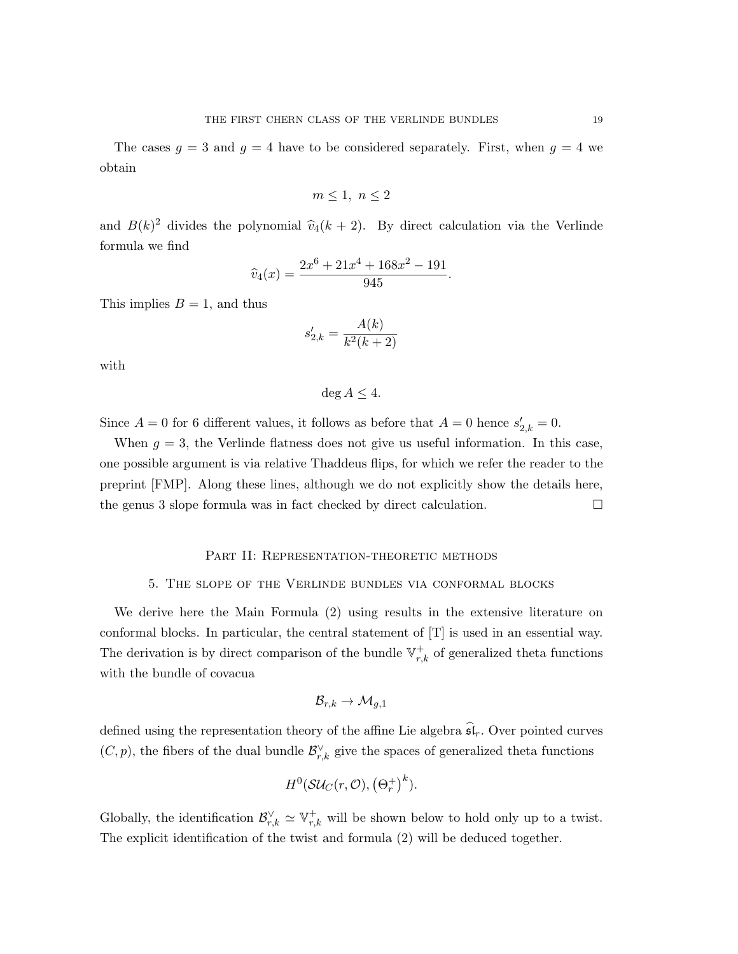The cases  $g = 3$  and  $g = 4$  have to be considered separately. First, when  $g = 4$  we obtain

$$
m \le 1, \ n \le 2
$$

and  $B(k)^2$  divides the polynomial  $\hat{v}_4(k + 2)$ . By direct calculation via the Verlinde formula we find

$$
\widehat{v}_4(x) = \frac{2x^6 + 21x^4 + 168x^2 - 191}{945}.
$$

This implies  $B = 1$ , and thus

$$
s'_{2,k} = \frac{A(k)}{k^2(k+2)}
$$

with

$$
\deg A \le 4.
$$

Since  $A = 0$  for 6 different values, it follows as before that  $A = 0$  hence  $s'_{2,k} = 0$ .

When  $g = 3$ , the Verlinde flatness does not give us useful information. In this case, one possible argument is via relative Thaddeus flips, for which we refer the reader to the preprint [FMP]. Along these lines, although we do not explicitly show the details here, the genus 3 slope formula was in fact checked by direct calculation.  $\Box$ 

## PART II: REPRESENTATION-THEORETIC METHODS

#### 5. The slope of the Verlinde bundles via conformal blocks

We derive here the Main Formula (2) using results in the extensive literature on conformal blocks. In particular, the central statement of [T] is used in an essential way. The derivation is by direct comparison of the bundle  $\mathbb{V}_{r,k}^+$  of generalized theta functions with the bundle of covacua

$$
\mathcal{B}_{r,k}\to \mathcal{M}_{g,1}
$$

defined using the representation theory of the affine Lie algebra  $\widehat{\mathfrak{sl}}_r$ . Over pointed curves  $(C, p)$ , the fibers of the dual bundle  $\mathcal{B}_{r,k}^{\vee}$  give the spaces of generalized theta functions

$$
H^0(\mathcal S\mathcal U_C(r,\mathcal O),\left(\Theta_r^+\right)^k).
$$

Globally, the identification  $\mathcal{B}_{r,k}^{\vee} \simeq \mathbb{V}_{r,k}^+$  will be shown below to hold only up to a twist. The explicit identification of the twist and formula (2) will be deduced together.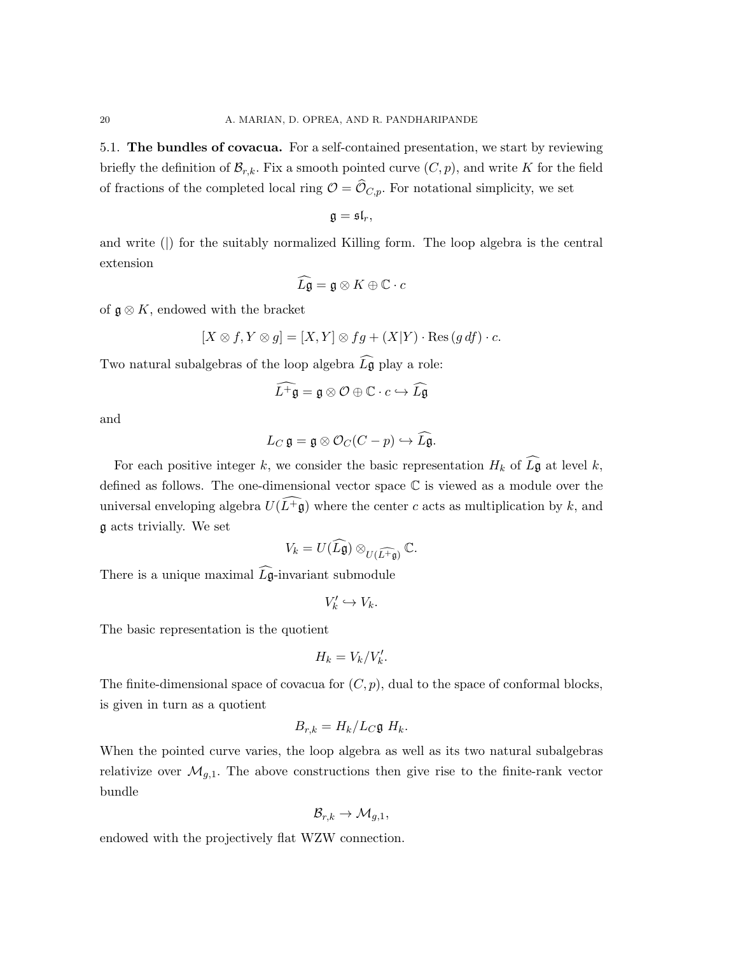5.1. The bundles of covacua. For a self-contained presentation, we start by reviewing briefly the definition of  $\mathcal{B}_{r,k}$ . Fix a smooth pointed curve  $(C, p)$ , and write K for the field of fractions of the completed local ring  $\mathcal{O} = \widehat{\mathcal{O}}_{C,p}$ . For notational simplicity, we set

$$
\mathfrak{g}=\mathfrak{sl}_r,
$$

and write () for the suitably normalized Killing form. The loop algebra is the central extension

$$
\widehat{L\mathfrak{g}} = \mathfrak{g} \otimes K \oplus \mathbb{C} \cdot c
$$

of  $\mathfrak{g} \otimes K$ , endowed with the bracket

$$
[X \otimes f, Y \otimes g] = [X, Y] \otimes fg + (X|Y) \cdot \text{Res}(g \, df) \cdot c.
$$

Two natural subalgebras of the loop algebra  $\widehat{L}$ g play a role:

$$
\widehat{L^+ \mathfrak{g}} = \mathfrak{g} \otimes \mathcal{O} \oplus \mathbb{C} \cdot c \hookrightarrow \widehat{L \mathfrak{g}}
$$

and

$$
L_C \mathfrak{g} = \mathfrak{g} \otimes \mathcal{O}_C (C - p) \hookrightarrow \widehat{L\mathfrak{g}}.
$$

For each positive integer k, we consider the basic representation  $H_k$  of  $\widehat{L}$ **g** at level k, defined as follows. The one-dimensional vector space C is viewed as a module over the universal enveloping algebra  $U(\widehat{L+g})$  where the center c acts as multiplication by k, and g acts trivially. We set

$$
V_k = U(\widehat{L\mathfrak{g}}) \otimes_{U(\widehat{L^+ \mathfrak{g}})} \mathbb{C}.
$$

There is a unique maximal  $\widehat{L\mathfrak{g}}$ -invariant submodule

$$
V'_k \hookrightarrow V_k.
$$

The basic representation is the quotient

$$
H_k = V_k/V'_k.
$$

The finite-dimensional space of covacua for  $(C, p)$ , dual to the space of conformal blocks, is given in turn as a quotient

$$
B_{r,k} = H_k/L_C \mathfrak{g} H_k.
$$

When the pointed curve varies, the loop algebra as well as its two natural subalgebras relativize over  $\mathcal{M}_{g,1}$ . The above constructions then give rise to the finite-rank vector bundle

$$
\mathcal{B}_{r,k}\to \mathcal{M}_{g,1},
$$

endowed with the projectively flat WZW connection.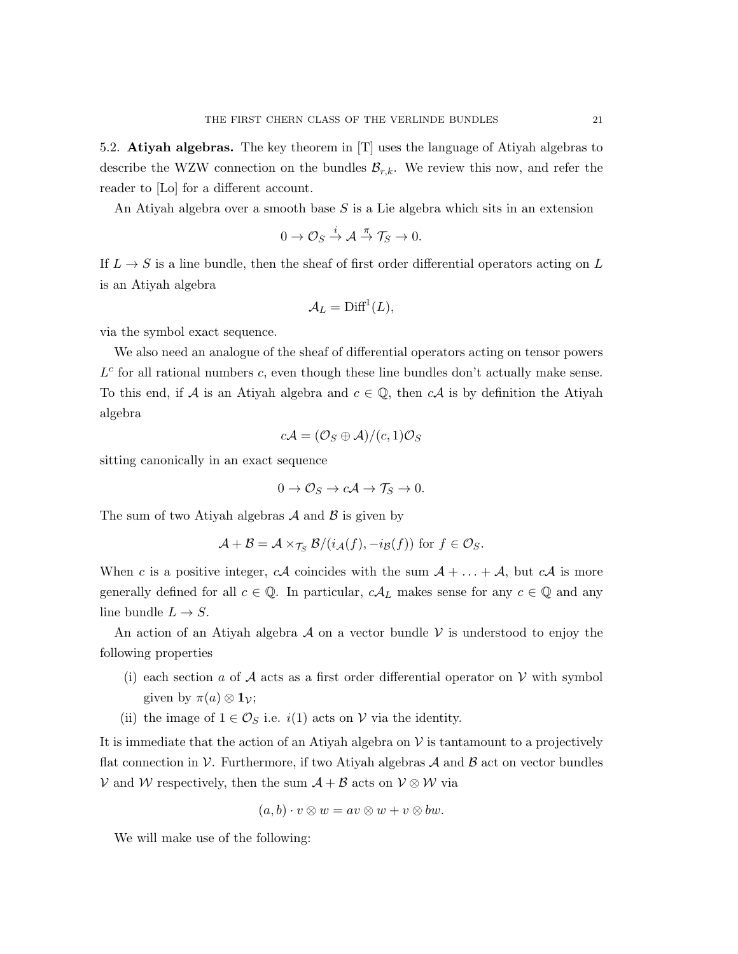5.2. Atiyah algebras. The key theorem in [T] uses the language of Atiyah algebras to describe the WZW connection on the bundles  $\mathcal{B}_{r,k}$ . We review this now, and refer the reader to [Lo] for a different account.

An Atiyah algebra over a smooth base S is a Lie algebra which sits in an extension

$$
0 \to \mathcal{O}_S \stackrel{i}{\to} \mathcal{A} \stackrel{\pi}{\to} \mathcal{T}_S \to 0.
$$

If  $L \to S$  is a line bundle, then the sheaf of first order differential operators acting on L is an Atiyah algebra

$$
\mathcal{A}_L = \text{Diff}^1(L),
$$

via the symbol exact sequence.

We also need an analogue of the sheaf of differential operators acting on tensor powers  $L<sup>c</sup>$  for all rational numbers  $c$ , even though these line bundles don't actually make sense. To this end, if A is an Atiyah algebra and  $c \in \mathbb{Q}$ , then  $c\mathcal{A}$  is by definition the Atiyah algebra

$$
c\mathcal{A}=(\mathcal{O}_S\oplus \mathcal{A})/(c,1)\mathcal{O}_S
$$

sitting canonically in an exact sequence

$$
0 \to \mathcal{O}_S \to c\mathcal{A} \to \mathcal{T}_S \to 0.
$$

The sum of two Atiyah algebras  $A$  and  $B$  is given by

$$
\mathcal{A}+\mathcal{B}=\mathcal{A}\times_{\mathcal{T}_S}\mathcal{B}/(i_{\mathcal{A}}(f),-i_{\mathcal{B}}(f))
$$
 for  $f\in\mathcal{O}_S$ .

When c is a positive integer, cA coincides with the sum  $A + \ldots + A$ , but cA is more generally defined for all  $c \in \mathbb{Q}$ . In particular,  $cA_L$  makes sense for any  $c \in \mathbb{Q}$  and any line bundle  $L \to S$ .

An action of an Atiyah algebra  $\mathcal A$  on a vector bundle  $\mathcal V$  is understood to enjoy the following properties

- (i) each section a of A acts as a first order differential operator on V with symbol given by  $\pi(a) \otimes \mathbf{1}_{\mathcal{V}}$ ;
- (ii) the image of  $1 \in \mathcal{O}_S$  i.e.  $i(1)$  acts on V via the identity.

It is immediate that the action of an Atiyah algebra on  $\mathcal V$  is tantamount to a projectively flat connection in V. Furthermore, if two Atiyah algebras  $A$  and  $B$  act on vector bundles V and W respectively, then the sum  $A + B$  acts on  $V \otimes W$  via

$$
(a, b) \cdot v \otimes w = av \otimes w + v \otimes bw.
$$

We will make use of the following: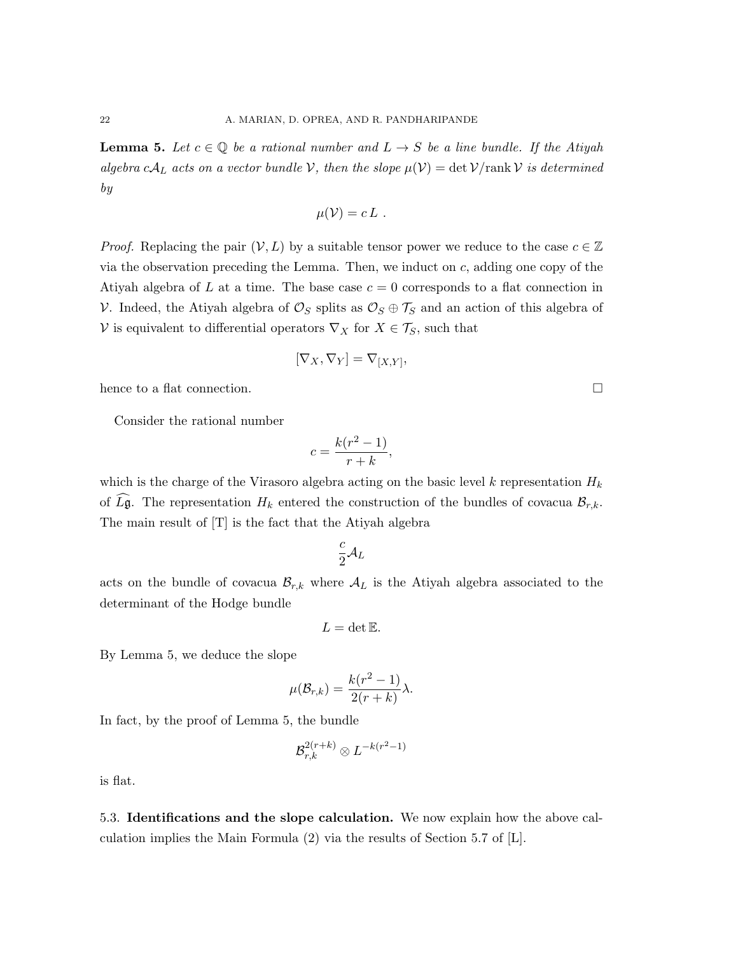**Lemma 5.** Let  $c \in \mathbb{Q}$  be a rational number and  $L \rightarrow S$  be a line bundle. If the Atiyah algebra c $A_L$  acts on a vector bundle V, then the slope  $\mu(\mathcal{V}) = \det \mathcal{V}/\text{rank }\mathcal{V}$  is determined by

$$
\mu(\mathcal{V})=c\,L\,.
$$

*Proof.* Replacing the pair  $(V, L)$  by a suitable tensor power we reduce to the case  $c \in \mathbb{Z}$ via the observation preceding the Lemma. Then, we induct on c, adding one copy of the Atiyah algebra of L at a time. The base case  $c = 0$  corresponds to a flat connection in V. Indeed, the Atiyah algebra of  $\mathcal{O}_S$  splits as  $\mathcal{O}_S \oplus \mathcal{T}_S$  and an action of this algebra of V is equivalent to differential operators  $\nabla_X$  for  $X \in \mathcal{T}_S$ , such that

$$
[\nabla_X, \nabla_Y] = \nabla_{[X,Y]},
$$

hence to a flat connection.  $\Box$ 

Consider the rational number

$$
c = \frac{k(r^2 - 1)}{r + k},
$$

which is the charge of the Virasoro algebra acting on the basic level k representation  $H_k$ of  $\widehat{L}\mathfrak{g}$ . The representation  $H_k$  entered the construction of the bundles of covacua  $\mathcal{B}_{r,k}$ . The main result of [T] is the fact that the Atiyah algebra

$$
\frac{c}{2} {\cal A}_L
$$

acts on the bundle of covacua  $\mathcal{B}_{r,k}$  where  $\mathcal{A}_L$  is the Atiyah algebra associated to the determinant of the Hodge bundle

$$
L=\det\mathbb{E}.
$$

By Lemma 5, we deduce the slope

$$
\mu(\mathcal{B}_{r,k}) = \frac{k(r^2-1)}{2(r+k)}\lambda.
$$

In fact, by the proof of Lemma 5, the bundle

$$
\mathcal{B}_{r,k}^{2(r+k)}\otimes L^{-k(r^2-1)}
$$

is flat.

5.3. Identifications and the slope calculation. We now explain how the above calculation implies the Main Formula (2) via the results of Section 5.7 of [L].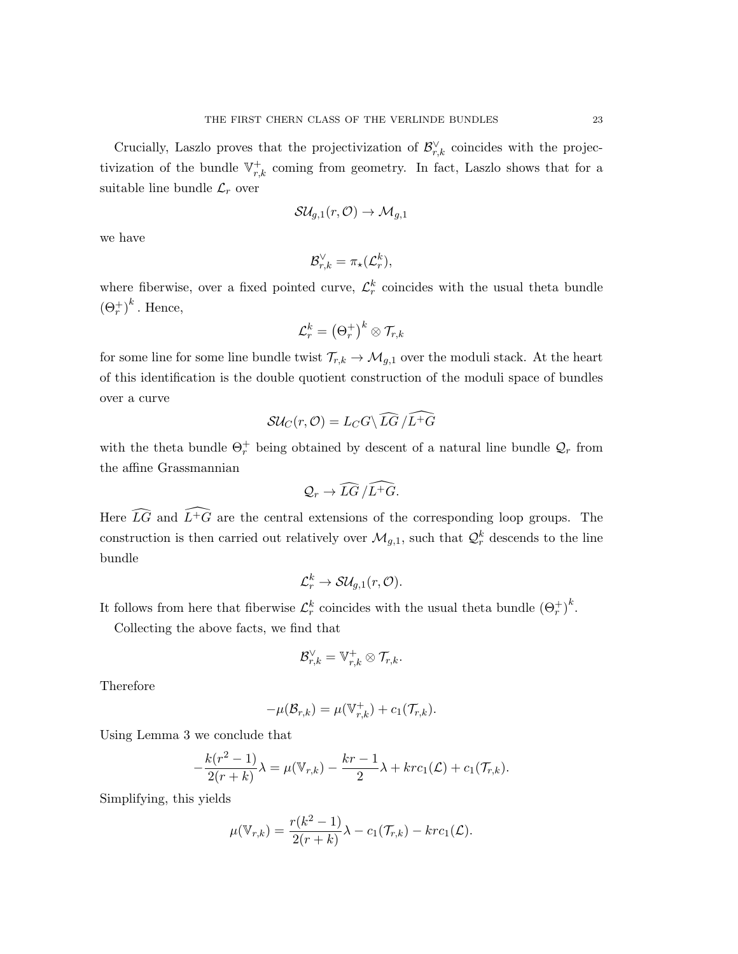Crucially, Laszlo proves that the projectivization of  $\mathcal{B}_{r,k}^{\vee}$  coincides with the projectivization of the bundle  $\mathbb{V}_{r,k}^+$  coming from geometry. In fact, Laszlo shows that for a suitable line bundle  $\mathcal{L}_r$  over

$$
{\cal S}{\cal U}_{g,1}(r,{\cal O})\rightarrow {\cal M}_{g,1}
$$

we have

$$
\mathcal{B}_{r,k}^{\vee}=\pi_{\star}(\mathcal{L}_r^k),
$$

where fiberwise, over a fixed pointed curve,  $\mathcal{L}_r^k$  coincides with the usual theta bundle  $(\Theta_r^+)^k$ . Hence,

$$
\mathcal{L}_r^k = \left(\Theta_r^+\right)^k \otimes \mathcal{T}_{r,k}
$$

for some line for some line bundle twist  $\mathcal{T}_{r,k} \to \mathcal{M}_{g,1}$  over the moduli stack. At the heart of this identification is the double quotient construction of the moduli space of bundles over a curve

$$
\mathcal{SU}_C(r,\mathcal{O})=L_C G \setminus \widehat{LG}/\widehat{L^+G}
$$

with the theta bundle  $\Theta_r^+$  being obtained by descent of a natural line bundle  $\mathcal{Q}_r$  from the affine Grassmannian

$$
\mathcal{Q}_r \to \widehat{LG}/\widehat{L^+G}.
$$

Here  $\widehat{LG}$  and  $\widehat{L^+G}$  are the central extensions of the corresponding loop groups. The construction is then carried out relatively over  $\mathcal{M}_{g,1}$ , such that  $\mathcal{Q}^k_r$  descends to the line bundle

$$
\mathcal{L}_r^k\to \mathcal{S}\mathcal{U}_{g,1}(r,\mathcal{O}).
$$

It follows from here that fiberwise  $\mathcal{L}_r^k$  coincides with the usual theta bundle  $(\Theta_r^+)^k$ .

Collecting the above facts, we find that

$$
\mathcal{B}_{r,k}^{\vee}=\mathbb{V}_{r,k}^{+}\otimes \mathcal{T}_{r,k}.
$$

Therefore

$$
-\mu(\mathcal{B}_{r,k}) = \mu(\mathbb{V}_{r,k}^+) + c_1(\mathcal{T}_{r,k}).
$$

Using Lemma 3 we conclude that

$$
-\frac{k(r^2-1)}{2(r+k)}\lambda = \mu(\mathbb{V}_{r,k}) - \frac{kr-1}{2}\lambda + krc_1(\mathcal{L}) + c_1(\mathcal{T}_{r,k}).
$$

Simplifying, this yields

$$
\mu(\mathbb{V}_{r,k}) = \frac{r(k^2-1)}{2(r+k)}\lambda - c_1(\mathcal{T}_{r,k}) - krc_1(\mathcal{L}).
$$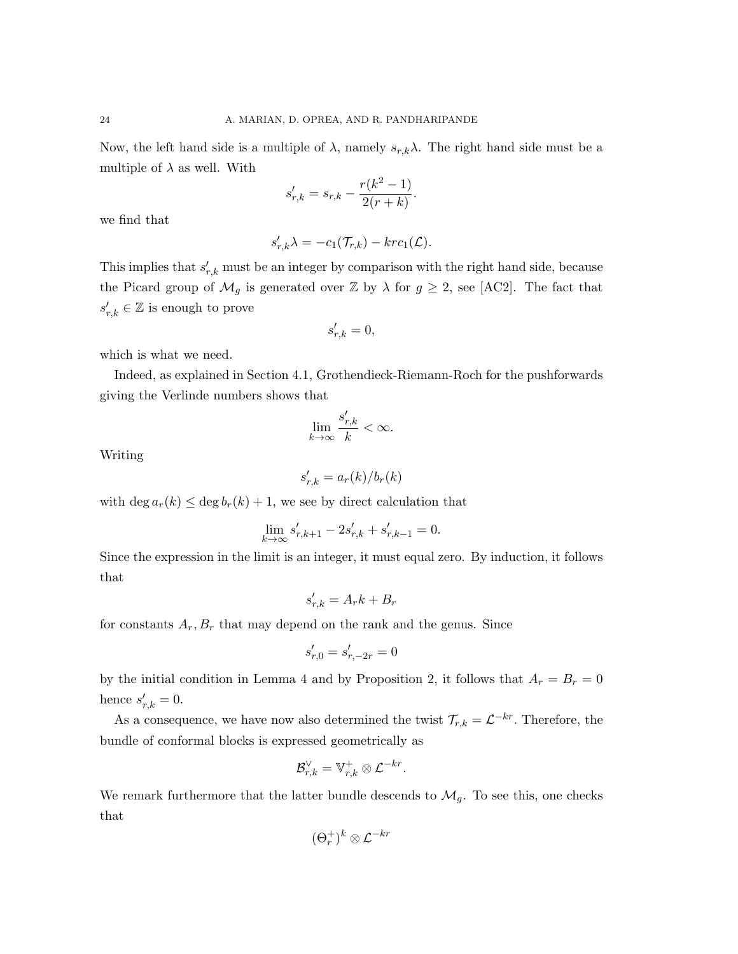Now, the left hand side is a multiple of  $\lambda$ , namely  $s_{r,k}\lambda$ . The right hand side must be a multiple of  $\lambda$  as well. With

$$
s'_{r,k} = s_{r,k} - \frac{r(k^2 - 1)}{2(r+k)}.
$$

we find that

$$
s'_{r,k}\lambda = -c_1(\mathcal{T}_{r,k}) - krc_1(\mathcal{L}).
$$

This implies that  $s'_{r,k}$  must be an integer by comparison with the right hand side, because the Picard group of  $\mathcal{M}_g$  is generated over  $\mathbb Z$  by  $\lambda$  for  $g \geq 2$ , see [AC2]. The fact that  $s'_{r,k} \in \mathbb{Z}$  is enough to prove

$$
s_{r,k}' = 0,
$$

which is what we need.

Indeed, as explained in Section 4.1, Grothendieck-Riemann-Roch for the pushforwards giving the Verlinde numbers shows that

$$
\lim_{k \to \infty} \frac{s'_{r,k}}{k} < \infty.
$$

Writing

$$
s_{r,k}' = a_r(k)/b_r(k)
$$

with deg  $a_r(k) \leq \deg b_r(k) + 1$ , we see by direct calculation that

$$
\lim_{k \to \infty} s'_{r,k+1} - 2s'_{r,k} + s'_{r,k-1} = 0.
$$

Since the expression in the limit is an integer, it must equal zero. By induction, it follows that

$$
s_{r,k}' = A_r k + B_r
$$

for constants  $A_r, B_r$  that may depend on the rank and the genus. Since

$$
s_{r,0}' = s_{r,-2r}' = 0
$$

by the initial condition in Lemma 4 and by Proposition 2, it follows that  $A_r = B_r = 0$ hence  $s'_{r,k} = 0$ .

As a consequence, we have now also determined the twist  $\mathcal{T}_{r,k} = \mathcal{L}^{-kr}$ . Therefore, the bundle of conformal blocks is expressed geometrically as

$$
\mathcal{B}_{r,k}^{\vee}=\mathbb{V}_{r,k}^{+}\otimes\mathcal{L}^{-kr}.
$$

We remark furthermore that the latter bundle descends to  $\mathcal{M}_g$ . To see this, one checks that

$$
(\Theta^+_r)^k \otimes \mathcal{L}^{-kr}
$$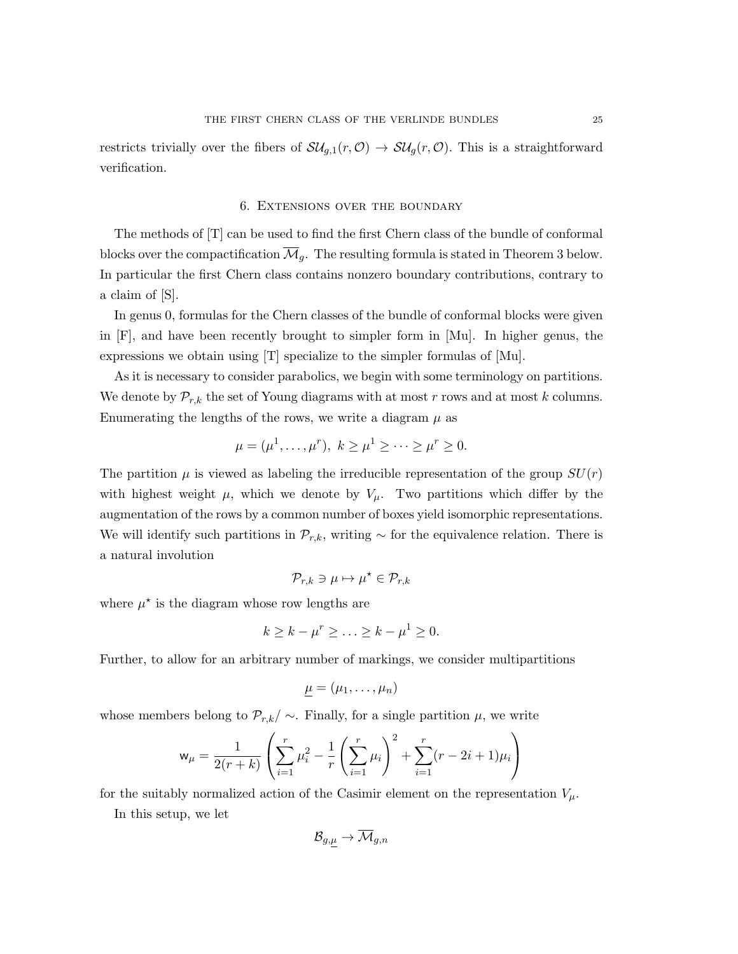restricts trivially over the fibers of  $\mathcal{S}\mathcal{U}_{g,1}(r,\mathcal{O}) \to \mathcal{S}\mathcal{U}_g(r,\mathcal{O})$ . This is a straightforward verification.

#### 6. Extensions over the boundary

The methods of [T] can be used to find the first Chern class of the bundle of conformal blocks over the compactification  $\overline{\mathcal{M}}_g$ . The resulting formula is stated in Theorem 3 below. In particular the first Chern class contains nonzero boundary contributions, contrary to a claim of [S].

In genus 0, formulas for the Chern classes of the bundle of conformal blocks were given in [F], and have been recently brought to simpler form in [Mu]. In higher genus, the expressions we obtain using [T] specialize to the simpler formulas of [Mu].

As it is necessary to consider parabolics, we begin with some terminology on partitions. We denote by  $\mathcal{P}_{r,k}$  the set of Young diagrams with at most r rows and at most k columns. Enumerating the lengths of the rows, we write a diagram  $\mu$  as

$$
\mu = (\mu^1, ..., \mu^r), k \ge \mu^1 \ge ... \ge \mu^r \ge 0.
$$

The partition  $\mu$  is viewed as labeling the irreducible representation of the group  $SU(r)$ with highest weight  $\mu$ , which we denote by  $V_{\mu}$ . Two partitions which differ by the augmentation of the rows by a common number of boxes yield isomorphic representations. We will identify such partitions in  $\mathcal{P}_{r,k}$ , writing  $\sim$  for the equivalence relation. There is a natural involution

$$
\mathcal{P}_{r,k}\ni\mu\mapsto\mu^\star\in\mathcal{P}_{r,k}
$$

where  $\mu^*$  is the diagram whose row lengths are

$$
k \geq k - \mu^r \geq \ldots \geq k - \mu^1 \geq 0.
$$

Further, to allow for an arbitrary number of markings, we consider multipartitions

$$
\underline{\mu}=(\mu_1,\ldots,\mu_n)
$$

whose members belong to  $\mathcal{P}_{r,k}/\sim$ . Finally, for a single partition  $\mu$ , we write

$$
\mathsf{w}_{\mu} = \frac{1}{2(r+k)} \left( \sum_{i=1}^{r} \mu_i^2 - \frac{1}{r} \left( \sum_{i=1}^{r} \mu_i \right)^2 + \sum_{i=1}^{r} (r - 2i + 1)\mu_i \right)
$$

for the suitably normalized action of the Casimir element on the representation  $V_\mu$ .

In this setup, we let

$$
\mathcal{B}_{g,\underline{\mu}}\to \overline{\mathcal{M}}_{g,n}
$$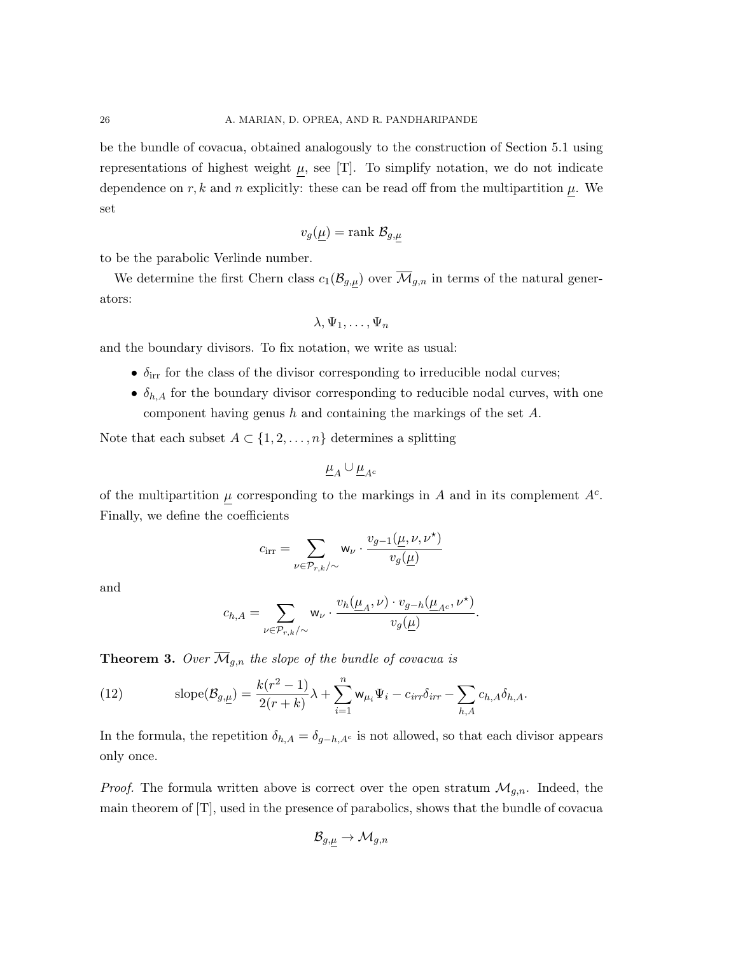be the bundle of covacua, obtained analogously to the construction of Section 5.1 using representations of highest weight  $\mu$ , see [T]. To simplify notation, we do not indicate dependence on r, k and n explicitly: these can be read off from the multipartition  $\mu$ . We set

$$
v_g(\underline{\mu}) = \text{rank } \mathcal{B}_{g,\mu}
$$

to be the parabolic Verlinde number.

We determine the first Chern class  $c_1(\mathcal{B}_{g,\mu})$  over  $\overline{\mathcal{M}}_{g,n}$  in terms of the natural generators:

$$
\lambda, \Psi_1, \ldots, \Psi_n
$$

and the boundary divisors. To fix notation, we write as usual:

- $\delta_{irr}$  for the class of the divisor corresponding to irreducible nodal curves;
- $\delta_{h,A}$  for the boundary divisor corresponding to reducible nodal curves, with one component having genus h and containing the markings of the set A.

Note that each subset  $A \subset \{1, 2, \ldots, n\}$  determines a splitting

$$
\underline{\mu}_A \cup \underline{\mu}_{A^c}
$$

of the multipartition  $\mu$  corresponding to the markings in A and in its complement  $A^c$ . Finally, we define the coefficients

$$
c_{\text{irr}} = \sum_{\nu \in \mathcal{P}_{r,k} / \sim} \mathsf{w}_{\nu} \cdot \frac{v_{g-1}(\mu, \nu, \nu^{\star})}{v_g(\mu)}
$$

and

$$
c_{h,A} = \sum_{\nu \in \mathcal{P}_{r,k} / \sim} \mathsf{w}_{\nu} \cdot \frac{v_h(\underline{\mu}_A, \nu) \cdot v_{g-h}(\underline{\mu}_{A^c}, \nu^{\star})}{v_g(\underline{\mu})}.
$$

**Theorem 3.** Over  $\overline{\mathcal{M}}_{g,n}$  the slope of the bundle of covacua is

(12) 
$$
\operatorname{slope}(\mathcal{B}_{g,\underline{\mu}}) = \frac{k(r^2-1)}{2(r+k)}\lambda + \sum_{i=1}^n w_{\mu_i} \Psi_i - c_{irr} \delta_{irr} - \sum_{h,A} c_{h,A} \delta_{h,A}.
$$

In the formula, the repetition  $\delta_{h,A} = \delta_{g-h,A^c}$  is not allowed, so that each divisor appears only once.

*Proof.* The formula written above is correct over the open stratum  $\mathcal{M}_{q,n}$ . Indeed, the main theorem of [T], used in the presence of parabolics, shows that the bundle of covacua

$$
\mathcal{B}_{g,\mu} \to \mathcal{M}_{g,n}
$$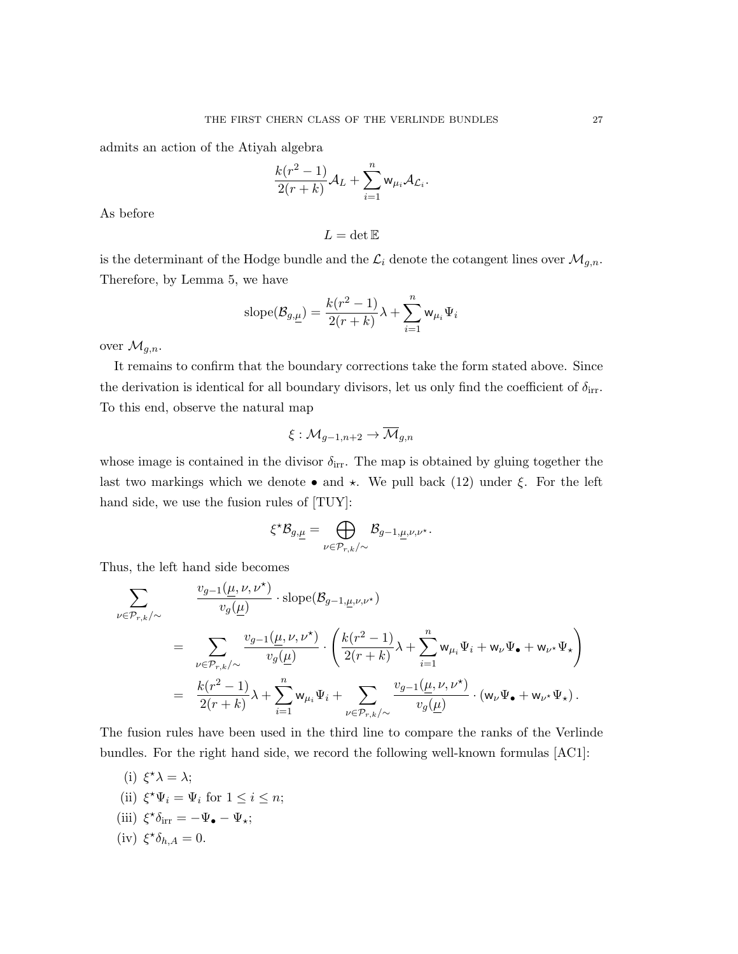admits an action of the Atiyah algebra

$$
\frac{k(r^2-1)}{2(r+k)}\mathcal{A}_L+\sum_{i=1}^n \mathbf{w}_{\mu_i}\mathcal{A}_{\mathcal{L}_i}.
$$

As before

$$
L=\det\mathbb{E}
$$

is the determinant of the Hodge bundle and the  $\mathcal{L}_i$  denote the cotangent lines over  $\mathcal{M}_{g,n}$ . Therefore, by Lemma 5, we have

$$
\text{slope}(\mathcal{B}_{g,\underline{\mu}}) = \frac{k(r^2-1)}{2(r+k)}\lambda + \sum_{i=1}^n \mathbf{w}_{\mu_i}\Psi_i
$$

over  $\mathcal{M}_{q,n}$ .

It remains to confirm that the boundary corrections take the form stated above. Since the derivation is identical for all boundary divisors, let us only find the coefficient of  $\delta_{irr}$ . To this end, observe the natural map

$$
\xi: \mathcal{M}_{g-1,n+2} \to \overline{\mathcal{M}}_{g,n}
$$

whose image is contained in the divisor  $\delta_{irr}$ . The map is obtained by gluing together the last two markings which we denote • and  $\star$ . We pull back (12) under  $\xi$ . For the left hand side, we use the fusion rules of [TUY]:

$$
\xi^{\star}\mathcal{B}_{g,\underline{\mu}}=\bigoplus_{\nu\in\mathcal{P}_{r,k}/\sim}\mathcal{B}_{g-1,\underline{\mu},\nu,\nu^{\star}}.
$$

Thus, the left hand side becomes

$$
\begin{array}{lcl} \displaystyle \sum_{\nu\in \mathcal{P}_{r,k}/\sim} & \displaystyle \frac{v_{g-1}(\underline{\mu},\nu,\nu^\star)}{v_g(\underline{\mu})}\cdot \mathrm{slope}(\mathcal{B}_{g-1,\underline{\mu},\nu,\nu^\star})\\[10pt] & = & \displaystyle \sum_{\nu\in \mathcal{P}_{r,k}/\sim} \frac{v_{g-1}(\underline{\mu},\nu,\nu^\star)}{v_g(\underline{\mu})}\cdot \Bigg(\frac{k(r^2-1)}{2(r+k)}\lambda + \sum_{i=1}^n \mathsf{w}_{\mu_i}\Psi_i + \mathsf{w}_{\nu}\Psi_\bullet + \mathsf{w}_{\nu^\star}\Psi_\star\Bigg)\\[10pt] & = & \displaystyle \frac{k(r^2-1)}{2(r+k)}\lambda + \sum_{i=1}^n \mathsf{w}_{\mu_i}\Psi_i + \sum_{\nu\in \mathcal{P}_{r,k}/\sim} \frac{v_{g-1}(\underline{\mu},\nu,\nu^\star)}{v_g(\underline{\mu})}\cdot (\mathsf{w}_{\nu}\Psi_\bullet + \mathsf{w}_{\nu^\star}\Psi_\star)\,. \end{array}
$$

The fusion rules have been used in the third line to compare the ranks of the Verlinde bundles. For the right hand side, we record the following well-known formulas [AC1]:

(i)  $\xi^* \lambda = \lambda;$ (ii)  $\xi^* \Psi_i = \Psi_i$  for  $1 \leq i \leq n$ ; (iii)  $\xi^* \delta_{irr} = -\Psi_{\bullet} - \Psi_{\star};$ (iv)  $\xi^* \delta_{h,A} = 0.$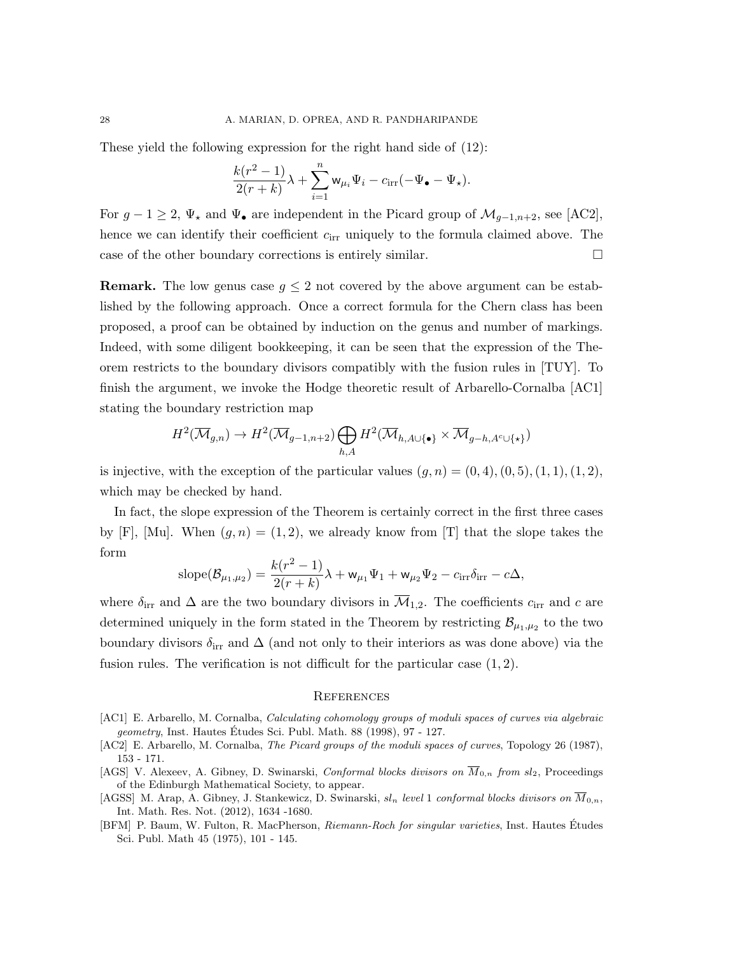These yield the following expression for the right hand side of (12):

$$
\frac{k(r^2-1)}{2(r+k)}\lambda+\sum_{i=1}^n\mathbf{w}_{\mu_i}\Psi_i-c_{\text{irr}}(-\Psi_\bullet-\Psi_\star).
$$

For  $g - 1 \ge 2$ ,  $\Psi_{\star}$  and  $\Psi_{\bullet}$  are independent in the Picard group of  $\mathcal{M}_{g-1,n+2}$ , see [AC2], hence we can identify their coefficient  $c_{irr}$  uniquely to the formula claimed above. The case of the other boundary corrections is entirely similar.

**Remark.** The low genus case  $g \leq 2$  not covered by the above argument can be established by the following approach. Once a correct formula for the Chern class has been proposed, a proof can be obtained by induction on the genus and number of markings. Indeed, with some diligent bookkeeping, it can be seen that the expression of the Theorem restricts to the boundary divisors compatibly with the fusion rules in [TUY]. To finish the argument, we invoke the Hodge theoretic result of Arbarello-Cornalba [AC1] stating the boundary restriction map

$$
H^{2}(\overline{\mathcal{M}}_{g,n}) \to H^{2}(\overline{\mathcal{M}}_{g-1,n+2}) \bigoplus_{h,A} H^{2}(\overline{\mathcal{M}}_{h,A\cup\{\bullet\}} \times \overline{\mathcal{M}}_{g-h,A^{c}\cup\{\star\}})
$$

is injective, with the exception of the particular values  $(q, n) = (0, 4), (0, 5), (1, 1), (1, 2),$ which may be checked by hand.

In fact, the slope expression of the Theorem is certainly correct in the first three cases by [F], [Mu]. When  $(g, n) = (1, 2)$ , we already know from [T] that the slope takes the form

$$
\text{slope}(\mathcal{B}_{\mu_1,\mu_2}) = \frac{k(r^2-1)}{2(r+k)}\lambda + \mathsf{w}_{\mu_1}\Psi_1 + \mathsf{w}_{\mu_2}\Psi_2 - c_{\text{irr}}\delta_{\text{irr}} - c\Delta,
$$

where  $\delta_{irr}$  and  $\Delta$  are the two boundary divisors in  $\overline{\mathcal{M}}_{1,2}$ . The coefficients  $c_{irr}$  and c are determined uniquely in the form stated in the Theorem by restricting  $\mathcal{B}_{\mu_1,\mu_2}$  to the two boundary divisors  $\delta_{irr}$  and  $\Delta$  (and not only to their interiors as was done above) via the fusion rules. The verification is not difficult for the particular case  $(1, 2)$ .

#### **REFERENCES**

- [AC1] E. Arbarello, M. Cornalba, Calculating cohomology groups of moduli spaces of curves via algebraic *geometry*, Inst. Hautes Études Sci. Publ. Math.  $88$  (1998), 97 - 127.
- [AC2] E. Arbarello, M. Cornalba, The Picard groups of the moduli spaces of curves, Topology 26 (1987), 153 - 171.
- [AGS] V. Alexeev, A. Gibney, D. Swinarski, Conformal blocks divisors on  $\overline{M}_{0,n}$  from sl<sub>2</sub>, Proceedings of the Edinburgh Mathematical Society, to appear.
- [AGSS] M. Arap, A. Gibney, J. Stankewicz, D. Swinarski,  $sl_n$  level 1 conformal blocks divisors on  $\overline{M}_{0,n}$ , Int. Math. Res. Not. (2012), 1634 -1680.
- [BFM] P. Baum, W. Fulton, R. MacPherson, Riemann-Roch for singular varieties, Inst. Hautes Etudes Sci. Publ. Math 45 (1975), 101 - 145.